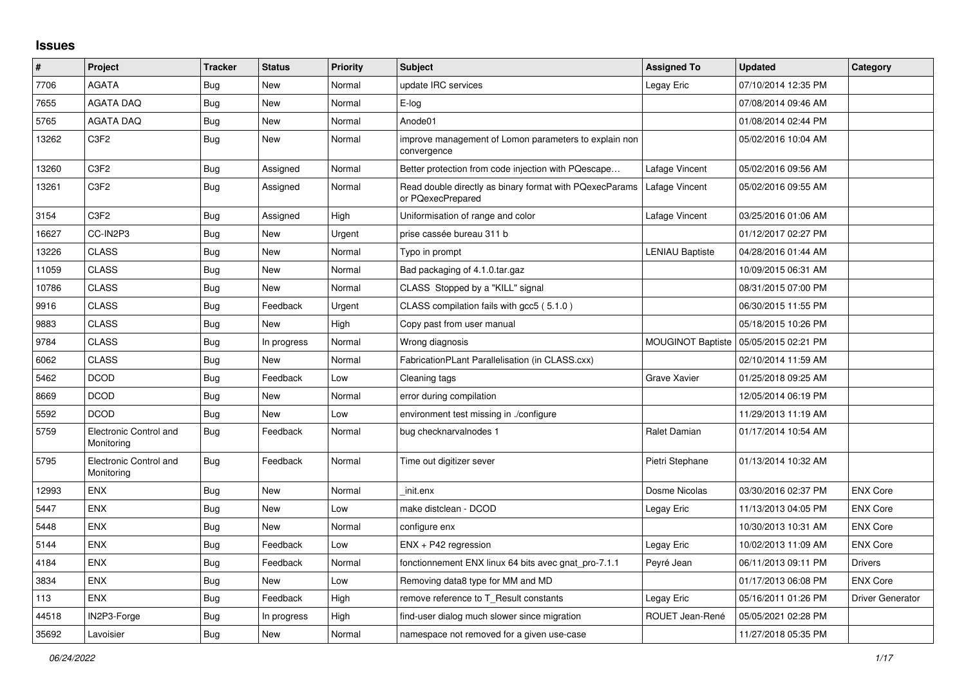## **Issues**

| #     | Project                              | <b>Tracker</b> | <b>Status</b> | <b>Priority</b> | <b>Subject</b>                                                               | <b>Assigned To</b>       | <b>Updated</b>      | Category                |
|-------|--------------------------------------|----------------|---------------|-----------------|------------------------------------------------------------------------------|--------------------------|---------------------|-------------------------|
| 7706  | <b>AGATA</b>                         | Bug            | New           | Normal          | update IRC services                                                          | Legay Eric               | 07/10/2014 12:35 PM |                         |
| 7655  | <b>AGATA DAQ</b>                     | Bug            | New           | Normal          | E-log                                                                        |                          | 07/08/2014 09:46 AM |                         |
| 5765  | AGATA DAQ                            | Bug            | New           | Normal          | Anode01                                                                      |                          | 01/08/2014 02:44 PM |                         |
| 13262 | C <sub>3</sub> F <sub>2</sub>        | <b>Bug</b>     | New           | Normal          | improve management of Lomon parameters to explain non<br>convergence         |                          | 05/02/2016 10:04 AM |                         |
| 13260 | C <sub>3F2</sub>                     | <b>Bug</b>     | Assigned      | Normal          | Better protection from code injection with PQescape                          | Lafage Vincent           | 05/02/2016 09:56 AM |                         |
| 13261 | C <sub>3</sub> F <sub>2</sub>        | <b>Bug</b>     | Assigned      | Normal          | Read double directly as binary format with PQexecParams<br>or PQexecPrepared | Lafage Vincent           | 05/02/2016 09:55 AM |                         |
| 3154  | C <sub>3</sub> F <sub>2</sub>        | Bug            | Assigned      | High            | Uniformisation of range and color                                            | Lafage Vincent           | 03/25/2016 01:06 AM |                         |
| 16627 | CC-IN2P3                             | Bug            | New           | Urgent          | prise cassée bureau 311 b                                                    |                          | 01/12/2017 02:27 PM |                         |
| 13226 | <b>CLASS</b>                         | <b>Bug</b>     | <b>New</b>    | Normal          | Typo in prompt                                                               | <b>LENIAU Baptiste</b>   | 04/28/2016 01:44 AM |                         |
| 11059 | <b>CLASS</b>                         | <b>Bug</b>     | New           | Normal          | Bad packaging of 4.1.0.tar.gaz                                               |                          | 10/09/2015 06:31 AM |                         |
| 10786 | <b>CLASS</b>                         | <b>Bug</b>     | New           | Normal          | CLASS Stopped by a "KILL" signal                                             |                          | 08/31/2015 07:00 PM |                         |
| 9916  | <b>CLASS</b>                         | Bug            | Feedback      | Urgent          | CLASS compilation fails with gcc5 (5.1.0)                                    |                          | 06/30/2015 11:55 PM |                         |
| 9883  | <b>CLASS</b>                         | <b>Bug</b>     | New           | High            | Copy past from user manual                                                   |                          | 05/18/2015 10:26 PM |                         |
| 9784  | <b>CLASS</b>                         | <b>Bug</b>     | In progress   | Normal          | Wrong diagnosis                                                              | <b>MOUGINOT Baptiste</b> | 05/05/2015 02:21 PM |                         |
| 6062  | <b>CLASS</b>                         | Bug            | <b>New</b>    | Normal          | FabricationPLant Parallelisation (in CLASS.cxx)                              |                          | 02/10/2014 11:59 AM |                         |
| 5462  | <b>DCOD</b>                          | <b>Bug</b>     | Feedback      | Low             | Cleaning tags                                                                | Grave Xavier             | 01/25/2018 09:25 AM |                         |
| 8669  | <b>DCOD</b>                          | <b>Bug</b>     | New           | Normal          | error during compilation                                                     |                          | 12/05/2014 06:19 PM |                         |
| 5592  | <b>DCOD</b>                          | <b>Bug</b>     | <b>New</b>    | Low             | environment test missing in ./configure                                      |                          | 11/29/2013 11:19 AM |                         |
| 5759  | Electronic Control and<br>Monitoring | <b>Bug</b>     | Feedback      | Normal          | bug checknarvalnodes 1                                                       | Ralet Damian             | 01/17/2014 10:54 AM |                         |
| 5795  | Electronic Control and<br>Monitoring | Bug            | Feedback      | Normal          | Time out digitizer sever                                                     | Pietri Stephane          | 01/13/2014 10:32 AM |                         |
| 12993 | <b>ENX</b>                           | Bug            | New           | Normal          | init.enx                                                                     | Dosme Nicolas            | 03/30/2016 02:37 PM | <b>ENX Core</b>         |
| 5447  | <b>ENX</b>                           | Bug            | New           | Low             | make distclean - DCOD                                                        | Legay Eric               | 11/13/2013 04:05 PM | <b>ENX Core</b>         |
| 5448  | <b>ENX</b>                           | <b>Bug</b>     | <b>New</b>    | Normal          | configure enx                                                                |                          | 10/30/2013 10:31 AM | <b>ENX Core</b>         |
| 5144  | <b>ENX</b>                           | <b>Bug</b>     | Feedback      | Low             | ENX + P42 regression                                                         | Legay Eric               | 10/02/2013 11:09 AM | <b>ENX Core</b>         |
| 4184  | <b>ENX</b>                           | Bug            | Feedback      | Normal          | fonctionnement ENX linux 64 bits avec gnat pro-7.1.1                         | Peyré Jean               | 06/11/2013 09:11 PM | <b>Drivers</b>          |
| 3834  | <b>ENX</b>                           | Bug            | New           | Low             | Removing data8 type for MM and MD                                            |                          | 01/17/2013 06:08 PM | <b>ENX Core</b>         |
| 113   | <b>ENX</b>                           | Bug            | Feedback      | High            | remove reference to T Result constants                                       | Legay Eric               | 05/16/2011 01:26 PM | <b>Driver Generator</b> |
| 44518 | IN2P3-Forge                          | Bug            | In progress   | High            | find-user dialog much slower since migration                                 | ROUET Jean-René          | 05/05/2021 02:28 PM |                         |
| 35692 | Lavoisier                            | <b>Bug</b>     | New           | Normal          | namespace not removed for a given use-case                                   |                          | 11/27/2018 05:35 PM |                         |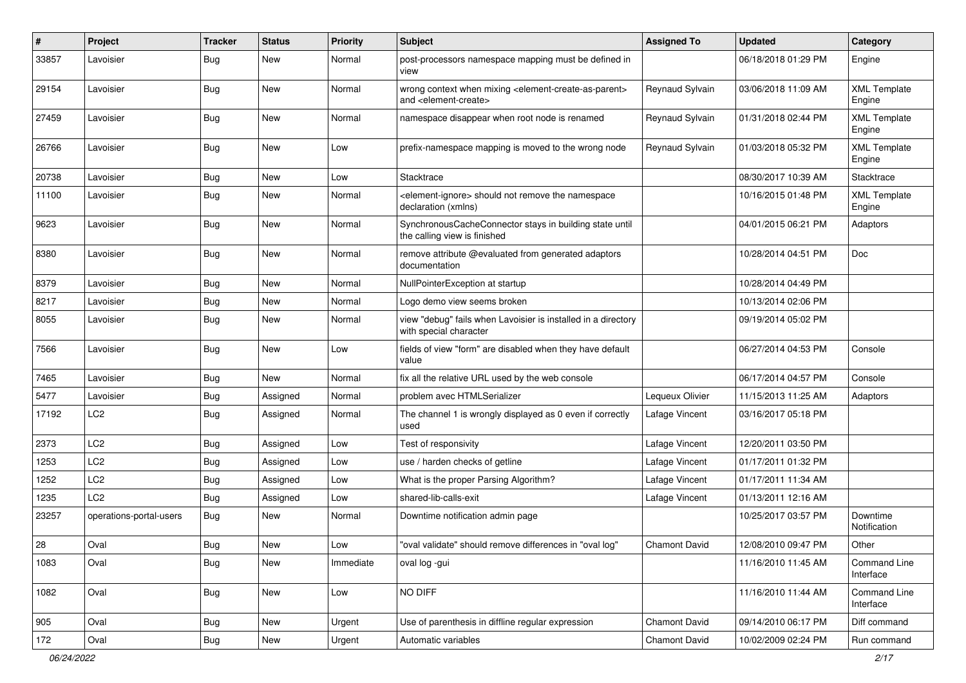| #     | Project                 | <b>Tracker</b> | <b>Status</b> | <b>Priority</b> | <b>Subject</b>                                                                                                            | <b>Assigned To</b> | <b>Updated</b>      | Category                      |
|-------|-------------------------|----------------|---------------|-----------------|---------------------------------------------------------------------------------------------------------------------------|--------------------|---------------------|-------------------------------|
| 33857 | Lavoisier               | <b>Bug</b>     | New           | Normal          | post-processors namespace mapping must be defined in<br>view                                                              |                    | 06/18/2018 01:29 PM | Engine                        |
| 29154 | Lavoisier               | Bug            | <b>New</b>    | Normal          | wrong context when mixing <element-create-as-parent><br/>and <element-create></element-create></element-create-as-parent> | Reynaud Sylvain    | 03/06/2018 11:09 AM | <b>XML Template</b><br>Engine |
| 27459 | Lavoisier               | Bug            | New           | Normal          | namespace disappear when root node is renamed                                                                             | Reynaud Sylvain    | 01/31/2018 02:44 PM | <b>XML Template</b><br>Engine |
| 26766 | Lavoisier               | Bug            | New           | Low             | prefix-namespace mapping is moved to the wrong node                                                                       | Reynaud Sylvain    | 01/03/2018 05:32 PM | <b>XML Template</b><br>Engine |
| 20738 | Lavoisier               | Bug            | New           | Low             | <b>Stacktrace</b>                                                                                                         |                    | 08/30/2017 10:39 AM | Stacktrace                    |
| 11100 | Lavoisier               | <b>Bug</b>     | <b>New</b>    | Normal          | <element-ignore> should not remove the namespace<br/>declaration (xmlns)</element-ignore>                                 |                    | 10/16/2015 01:48 PM | <b>XML Template</b><br>Engine |
| 9623  | Lavoisier               | <b>Bug</b>     | <b>New</b>    | Normal          | SynchronousCacheConnector stays in building state until<br>the calling view is finished                                   |                    | 04/01/2015 06:21 PM | Adaptors                      |
| 8380  | Lavoisier               | <b>Bug</b>     | <b>New</b>    | Normal          | remove attribute @evaluated from generated adaptors<br>documentation                                                      |                    | 10/28/2014 04:51 PM | Doc                           |
| 8379  | Lavoisier               | <b>Bug</b>     | New           | Normal          | NullPointerException at startup                                                                                           |                    | 10/28/2014 04:49 PM |                               |
| 8217  | Lavoisier               | <b>Bug</b>     | <b>New</b>    | Normal          | Logo demo view seems broken                                                                                               |                    | 10/13/2014 02:06 PM |                               |
| 8055  | Lavoisier               | <b>Bug</b>     | New           | Normal          | view "debug" fails when Lavoisier is installed in a directory<br>with special character                                   |                    | 09/19/2014 05:02 PM |                               |
| 7566  | Lavoisier               | <b>Bug</b>     | <b>New</b>    | Low             | fields of view "form" are disabled when they have default<br>value                                                        |                    | 06/27/2014 04:53 PM | Console                       |
| 7465  | Lavoisier               | <b>Bug</b>     | New           | Normal          | fix all the relative URL used by the web console                                                                          |                    | 06/17/2014 04:57 PM | Console                       |
| 5477  | Lavoisier               | <b>Bug</b>     | Assigned      | Normal          | problem avec HTMLSerializer                                                                                               | Lequeux Olivier    | 11/15/2013 11:25 AM | Adaptors                      |
| 17192 | LC <sub>2</sub>         | Bug            | Assigned      | Normal          | The channel 1 is wrongly displayed as 0 even if correctly<br>used                                                         | Lafage Vincent     | 03/16/2017 05:18 PM |                               |
| 2373  | LC <sub>2</sub>         | <b>Bug</b>     | Assigned      | Low             | Test of responsivity                                                                                                      | Lafage Vincent     | 12/20/2011 03:50 PM |                               |
| 1253  | LC <sub>2</sub>         | <b>Bug</b>     | Assigned      | Low             | use / harden checks of getline                                                                                            | Lafage Vincent     | 01/17/2011 01:32 PM |                               |
| 1252  | LC <sub>2</sub>         | <b>Bug</b>     | Assigned      | Low             | What is the proper Parsing Algorithm?                                                                                     | Lafage Vincent     | 01/17/2011 11:34 AM |                               |
| 1235  | LC <sub>2</sub>         | <b>Bug</b>     | Assigned      | Low             | shared-lib-calls-exit                                                                                                     | Lafage Vincent     | 01/13/2011 12:16 AM |                               |
| 23257 | operations-portal-users | <b>Bug</b>     | New           | Normal          | Downtime notification admin page                                                                                          |                    | 10/25/2017 03:57 PM | Downtime<br>Notification      |
| 28    | Oval                    | Bug            | New           | Low             | "oval validate" should remove differences in "oval log"                                                                   | Chamont David      | 12/08/2010 09:47 PM | Other                         |
| 1083  | Oval                    | Bug            | New           | Immediate       | oval log -gui                                                                                                             |                    | 11/16/2010 11:45 AM | Command Line<br>Interface     |
| 1082  | Oval                    | Bug            | New           | Low             | NO DIFF                                                                                                                   |                    | 11/16/2010 11:44 AM | Command Line<br>Interface     |
| 905   | Oval                    | <b>Bug</b>     | New           | Urgent          | Use of parenthesis in diffline regular expression                                                                         | Chamont David      | 09/14/2010 06:17 PM | Diff command                  |
| 172   | Oval                    | <b>Bug</b>     | New           | Urgent          | Automatic variables                                                                                                       | Chamont David      | 10/02/2009 02:24 PM | Run command                   |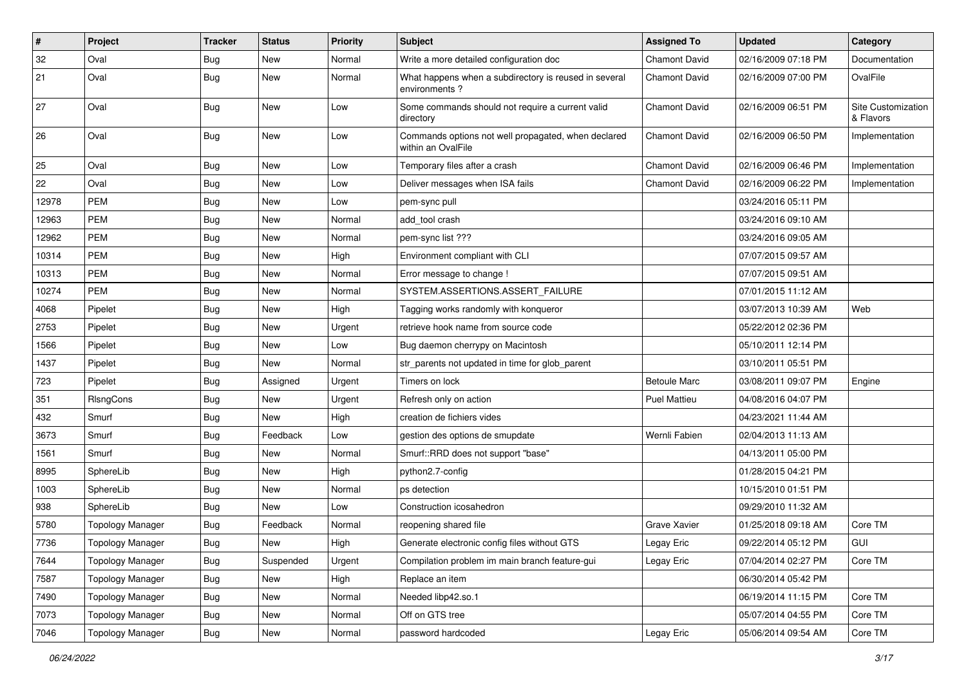| #     | Project                 | <b>Tracker</b> | <b>Status</b> | <b>Priority</b> | <b>Subject</b>                                                            | <b>Assigned To</b>   | <b>Updated</b>      | Category                        |
|-------|-------------------------|----------------|---------------|-----------------|---------------------------------------------------------------------------|----------------------|---------------------|---------------------------------|
| 32    | Oval                    | <b>Bug</b>     | New           | Normal          | Write a more detailed configuration doc                                   | <b>Chamont David</b> | 02/16/2009 07:18 PM | Documentation                   |
| 21    | Oval                    | <b>Bug</b>     | <b>New</b>    | Normal          | What happens when a subdirectory is reused in several<br>environments?    | <b>Chamont David</b> | 02/16/2009 07:00 PM | OvalFile                        |
| 27    | Oval                    | Bug            | <b>New</b>    | Low             | Some commands should not require a current valid<br>directory             | <b>Chamont David</b> | 02/16/2009 06:51 PM | Site Customization<br>& Flavors |
| 26    | Oval                    | <b>Bug</b>     | <b>New</b>    | Low             | Commands options not well propagated, when declared<br>within an OvalFile | <b>Chamont David</b> | 02/16/2009 06:50 PM | Implementation                  |
| 25    | Oval                    | <b>Bug</b>     | <b>New</b>    | Low             | Temporary files after a crash                                             | <b>Chamont David</b> | 02/16/2009 06:46 PM | Implementation                  |
| 22    | Oval                    | <b>Bug</b>     | New           | Low             | Deliver messages when ISA fails                                           | <b>Chamont David</b> | 02/16/2009 06:22 PM | Implementation                  |
| 12978 | PEM                     | <b>Bug</b>     | <b>New</b>    | Low             | pem-sync pull                                                             |                      | 03/24/2016 05:11 PM |                                 |
| 12963 | <b>PEM</b>              | <b>Bug</b>     | <b>New</b>    | Normal          | add tool crash                                                            |                      | 03/24/2016 09:10 AM |                                 |
| 12962 | PEM                     | <b>Bug</b>     | <b>New</b>    | Normal          | pem-sync list ???                                                         |                      | 03/24/2016 09:05 AM |                                 |
| 10314 | <b>PEM</b>              | <b>Bug</b>     | <b>New</b>    | High            | Environment compliant with CLI                                            |                      | 07/07/2015 09:57 AM |                                 |
| 10313 | <b>PEM</b>              | <b>Bug</b>     | <b>New</b>    | Normal          | Error message to change !                                                 |                      | 07/07/2015 09:51 AM |                                 |
| 10274 | <b>PEM</b>              | <b>Bug</b>     | <b>New</b>    | Normal          | SYSTEM.ASSERTIONS.ASSERT_FAILURE                                          |                      | 07/01/2015 11:12 AM |                                 |
| 4068  | Pipelet                 | <b>Bug</b>     | New           | High            | Tagging works randomly with konqueror                                     |                      | 03/07/2013 10:39 AM | Web                             |
| 2753  | Pipelet                 | <b>Bug</b>     | <b>New</b>    | Urgent          | retrieve hook name from source code                                       |                      | 05/22/2012 02:36 PM |                                 |
| 1566  | Pipelet                 | <b>Bug</b>     | New           | Low             | Bug daemon cherrypy on Macintosh                                          |                      | 05/10/2011 12:14 PM |                                 |
| 1437  | Pipelet                 | <b>Bug</b>     | <b>New</b>    | Normal          | str_parents not updated in time for glob_parent                           |                      | 03/10/2011 05:51 PM |                                 |
| 723   | Pipelet                 | <b>Bug</b>     | Assigned      | Urgent          | Timers on lock                                                            | <b>Betoule Marc</b>  | 03/08/2011 09:07 PM | Engine                          |
| 351   | RIsngCons               | <b>Bug</b>     | New           | Urgent          | Refresh only on action                                                    | <b>Puel Mattieu</b>  | 04/08/2016 04:07 PM |                                 |
| 432   | Smurf                   | <b>Bug</b>     | New           | High            | creation de fichiers vides                                                |                      | 04/23/2021 11:44 AM |                                 |
| 3673  | Smurf                   | Bug            | Feedback      | Low             | gestion des options de smupdate                                           | Wernli Fabien        | 02/04/2013 11:13 AM |                                 |
| 1561  | Smurf                   | <b>Bug</b>     | <b>New</b>    | Normal          | Smurf::RRD does not support "base"                                        |                      | 04/13/2011 05:00 PM |                                 |
| 8995  | SphereLib               | Bug            | <b>New</b>    | High            | python2.7-config                                                          |                      | 01/28/2015 04:21 PM |                                 |
| 1003  | SphereLib               | <b>Bug</b>     | New           | Normal          | ps detection                                                              |                      | 10/15/2010 01:51 PM |                                 |
| 938   | SphereLib               | <b>Bug</b>     | <b>New</b>    | Low             | Construction icosahedron                                                  |                      | 09/29/2010 11:32 AM |                                 |
| 5780  | <b>Topology Manager</b> | Bug            | Feedback      | Normal          | reopening shared file                                                     | <b>Grave Xavier</b>  | 01/25/2018 09:18 AM | Core TM                         |
| 7736  | <b>Topology Manager</b> | Bug            | New           | High            | Generate electronic config files without GTS                              | Legay Eric           | 09/22/2014 05:12 PM | GUI                             |
| 7644  | <b>Topology Manager</b> | Bug            | Suspended     | Urgent          | Compilation problem im main branch feature-gui                            | Legay Eric           | 07/04/2014 02:27 PM | Core TM                         |
| 7587  | <b>Topology Manager</b> | <b>Bug</b>     | New           | High            | Replace an item                                                           |                      | 06/30/2014 05:42 PM |                                 |
| 7490  | <b>Topology Manager</b> | <b>Bug</b>     | New           | Normal          | Needed libp42.so.1                                                        |                      | 06/19/2014 11:15 PM | Core TM                         |
| 7073  | <b>Topology Manager</b> | <b>Bug</b>     | New           | Normal          | Off on GTS tree                                                           |                      | 05/07/2014 04:55 PM | Core TM                         |
| 7046  | <b>Topology Manager</b> | <b>Bug</b>     | New           | Normal          | password hardcoded                                                        | Legay Eric           | 05/06/2014 09:54 AM | Core TM                         |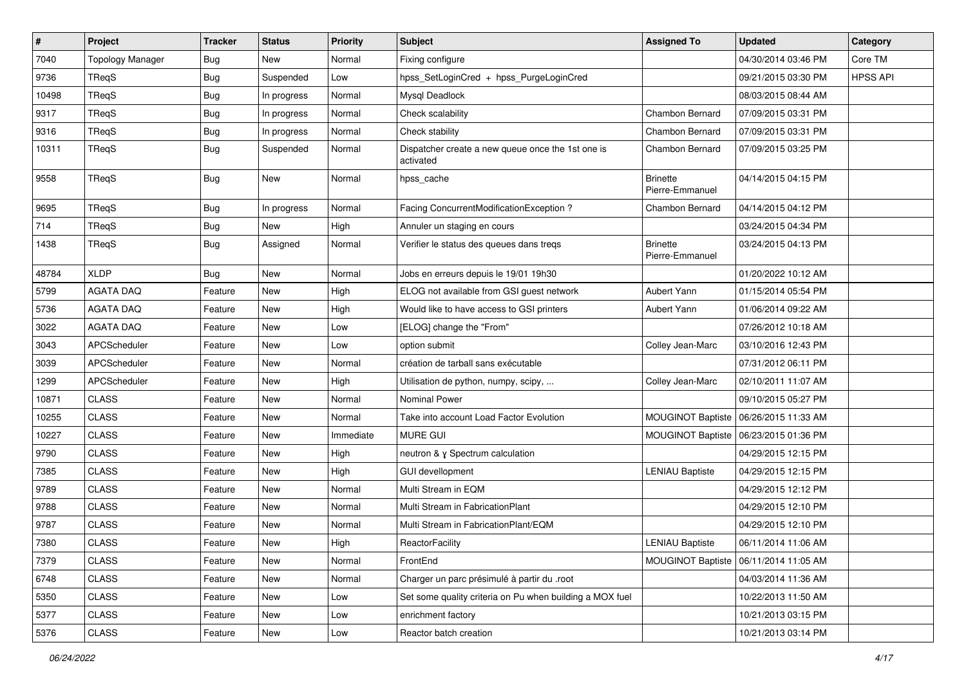| $\vert$ # | Project                 | <b>Tracker</b> | <b>Status</b> | <b>Priority</b> | Subject                                                        | <b>Assigned To</b>                 | <b>Updated</b>                          | Category        |
|-----------|-------------------------|----------------|---------------|-----------------|----------------------------------------------------------------|------------------------------------|-----------------------------------------|-----------------|
| 7040      | <b>Topology Manager</b> | <b>Bug</b>     | New           | Normal          | Fixing configure                                               |                                    | 04/30/2014 03:46 PM                     | Core TM         |
| 9736      | TReqS                   | Bug            | Suspended     | Low             | hpss_SetLoginCred + hpss_PurgeLoginCred                        |                                    | 09/21/2015 03:30 PM                     | <b>HPSS API</b> |
| 10498     | TReqS                   | <b>Bug</b>     | In progress   | Normal          | Mysql Deadlock                                                 |                                    | 08/03/2015 08:44 AM                     |                 |
| 9317      | TReqS                   | <b>Bug</b>     | In progress   | Normal          | Check scalability                                              | Chambon Bernard                    | 07/09/2015 03:31 PM                     |                 |
| 9316      | TReqS                   | <b>Bug</b>     | In progress   | Normal          | Check stability                                                | Chambon Bernard                    | 07/09/2015 03:31 PM                     |                 |
| 10311     | TReqS                   | <b>Bug</b>     | Suspended     | Normal          | Dispatcher create a new queue once the 1st one is<br>activated | Chambon Bernard                    | 07/09/2015 03:25 PM                     |                 |
| 9558      | TReqS                   | Bug            | <b>New</b>    | Normal          | hpss_cache                                                     | <b>Brinette</b><br>Pierre-Emmanuel | 04/14/2015 04:15 PM                     |                 |
| 9695      | TReqS                   | <b>Bug</b>     | In progress   | Normal          | Facing ConcurrentModificationException ?                       | Chambon Bernard                    | 04/14/2015 04:12 PM                     |                 |
| 714       | TReqS                   | Bug            | <b>New</b>    | High            | Annuler un staging en cours                                    |                                    | 03/24/2015 04:34 PM                     |                 |
| 1438      | TReqS                   | <b>Bug</b>     | Assigned      | Normal          | Verifier le status des queues dans treqs                       | <b>Brinette</b><br>Pierre-Emmanuel | 03/24/2015 04:13 PM                     |                 |
| 48784     | <b>XLDP</b>             | <b>Bug</b>     | <b>New</b>    | Normal          | Jobs en erreurs depuis le 19/01 19h30                          |                                    | 01/20/2022 10:12 AM                     |                 |
| 5799      | <b>AGATA DAQ</b>        | Feature        | <b>New</b>    | High            | ELOG not available from GSI guest network                      | Aubert Yann                        | 01/15/2014 05:54 PM                     |                 |
| 5736      | <b>AGATA DAQ</b>        | Feature        | New           | High            | Would like to have access to GSI printers                      | Aubert Yann                        | 01/06/2014 09:22 AM                     |                 |
| 3022      | <b>AGATA DAQ</b>        | Feature        | New           | Low             | [ELOG] change the "From"                                       |                                    | 07/26/2012 10:18 AM                     |                 |
| 3043      | APCScheduler            | Feature        | <b>New</b>    | Low             | option submit                                                  | Colley Jean-Marc                   | 03/10/2016 12:43 PM                     |                 |
| 3039      | APCScheduler            | Feature        | New           | Normal          | création de tarball sans exécutable                            |                                    | 07/31/2012 06:11 PM                     |                 |
| 1299      | APCScheduler            | Feature        | New           | High            | Utilisation de python, numpy, scipy,                           | Colley Jean-Marc                   | 02/10/2011 11:07 AM                     |                 |
| 10871     | <b>CLASS</b>            | Feature        | <b>New</b>    | Normal          | Nominal Power                                                  |                                    | 09/10/2015 05:27 PM                     |                 |
| 10255     | <b>CLASS</b>            | Feature        | New           | Normal          | Take into account Load Factor Evolution                        | <b>MOUGINOT Baptiste</b>           | 06/26/2015 11:33 AM                     |                 |
| 10227     | <b>CLASS</b>            | Feature        | New           | Immediate       | MURE GUI                                                       | MOUGINOT Baptiste                  | 06/23/2015 01:36 PM                     |                 |
| 9790      | <b>CLASS</b>            | Feature        | New           | High            | neutron & y Spectrum calculation                               |                                    | 04/29/2015 12:15 PM                     |                 |
| 7385      | <b>CLASS</b>            | Feature        | New           | High            | <b>GUI devellopment</b>                                        | <b>LENIAU Baptiste</b>             | 04/29/2015 12:15 PM                     |                 |
| 9789      | <b>CLASS</b>            | Feature        | <b>New</b>    | Normal          | Multi Stream in EQM                                            |                                    | 04/29/2015 12:12 PM                     |                 |
| 9788      | <b>CLASS</b>            | Feature        | New           | Normal          | Multi Stream in FabricationPlant                               |                                    | 04/29/2015 12:10 PM                     |                 |
| 9787      | <b>CLASS</b>            | Feature        | New           | Normal          | Multi Stream in FabricationPlant/EQM                           |                                    | 04/29/2015 12:10 PM                     |                 |
| 7380      | <b>CLASS</b>            | Feature        | New           | High            | ReactorFacility                                                | <b>LENIAU Baptiste</b>             | 06/11/2014 11:06 AM                     |                 |
| 7379      | <b>CLASS</b>            | Feature        | New           | Normal          | FrontEnd                                                       |                                    | MOUGINOT Baptiste   06/11/2014 11:05 AM |                 |
| 6748      | <b>CLASS</b>            | Feature        | New           | Normal          | Charger un parc présimulé à partir du .root                    |                                    | 04/03/2014 11:36 AM                     |                 |
| 5350      | <b>CLASS</b>            | Feature        | New           | Low             | Set some quality criteria on Pu when building a MOX fuel       |                                    | 10/22/2013 11:50 AM                     |                 |
| 5377      | <b>CLASS</b>            | Feature        | New           | Low             | enrichment factory                                             |                                    | 10/21/2013 03:15 PM                     |                 |
| 5376      | <b>CLASS</b>            | Feature        | New           | Low             | Reactor batch creation                                         |                                    | 10/21/2013 03:14 PM                     |                 |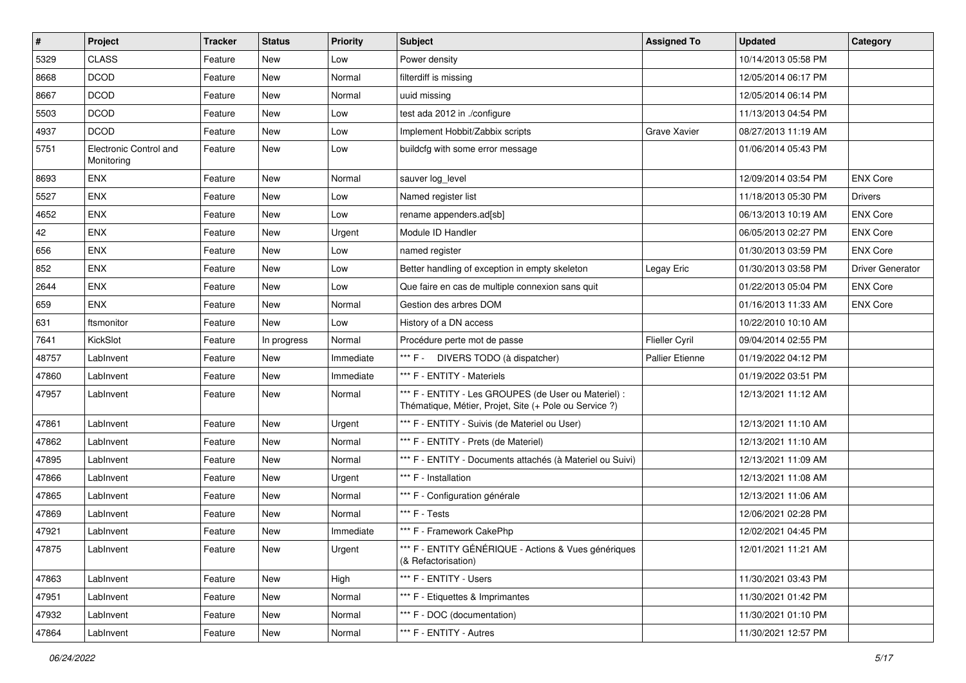| $\sharp$ | Project                              | <b>Tracker</b> | <b>Status</b> | <b>Priority</b> | Subject                                                                                                        | <b>Assigned To</b>     | <b>Updated</b>      | Category                |
|----------|--------------------------------------|----------------|---------------|-----------------|----------------------------------------------------------------------------------------------------------------|------------------------|---------------------|-------------------------|
| 5329     | <b>CLASS</b>                         | Feature        | New           | Low             | Power density                                                                                                  |                        | 10/14/2013 05:58 PM |                         |
| 8668     | <b>DCOD</b>                          | Feature        | <b>New</b>    | Normal          | filterdiff is missing                                                                                          |                        | 12/05/2014 06:17 PM |                         |
| 8667     | <b>DCOD</b>                          | Feature        | New           | Normal          | uuid missing                                                                                                   |                        | 12/05/2014 06:14 PM |                         |
| 5503     | <b>DCOD</b>                          | Feature        | New           | Low             | test ada 2012 in ./configure                                                                                   |                        | 11/13/2013 04:54 PM |                         |
| 4937     | <b>DCOD</b>                          | Feature        | New           | Low             | Implement Hobbit/Zabbix scripts                                                                                | Grave Xavier           | 08/27/2013 11:19 AM |                         |
| 5751     | Electronic Control and<br>Monitoring | Feature        | New           | Low             | buildcfg with some error message                                                                               |                        | 01/06/2014 05:43 PM |                         |
| 8693     | <b>ENX</b>                           | Feature        | <b>New</b>    | Normal          | sauver log_level                                                                                               |                        | 12/09/2014 03:54 PM | <b>ENX Core</b>         |
| 5527     | <b>ENX</b>                           | Feature        | <b>New</b>    | Low             | Named register list                                                                                            |                        | 11/18/2013 05:30 PM | <b>Drivers</b>          |
| 4652     | <b>ENX</b>                           | Feature        | <b>New</b>    | Low             | rename appenders.ad[sb]                                                                                        |                        | 06/13/2013 10:19 AM | <b>ENX Core</b>         |
| 42       | ENX                                  | Feature        | <b>New</b>    | Urgent          | Module ID Handler                                                                                              |                        | 06/05/2013 02:27 PM | <b>ENX Core</b>         |
| 656      | <b>ENX</b>                           | Feature        | New           | Low             | named register                                                                                                 |                        | 01/30/2013 03:59 PM | <b>ENX Core</b>         |
| 852      | <b>ENX</b>                           | Feature        | <b>New</b>    | Low             | Better handling of exception in empty skeleton                                                                 | Legay Eric             | 01/30/2013 03:58 PM | <b>Driver Generator</b> |
| 2644     | ENX                                  | Feature        | <b>New</b>    | Low             | Que faire en cas de multiple connexion sans quit                                                               |                        | 01/22/2013 05:04 PM | <b>ENX Core</b>         |
| 659      | <b>ENX</b>                           | Feature        | New           | Normal          | Gestion des arbres DOM                                                                                         |                        | 01/16/2013 11:33 AM | <b>ENX Core</b>         |
| 631      | ftsmonitor                           | Feature        | New           | Low             | History of a DN access                                                                                         |                        | 10/22/2010 10:10 AM |                         |
| 7641     | KickSlot                             | Feature        | In progress   | Normal          | Procédure perte mot de passe                                                                                   | <b>Flieller Cyril</b>  | 09/04/2014 02:55 PM |                         |
| 48757    | LabInvent                            | Feature        | New           | Immediate       | *** F - DIVERS TODO (à dispatcher)                                                                             | <b>Pallier Etienne</b> | 01/19/2022 04:12 PM |                         |
| 47860    | LabInvent                            | Feature        | New           | Immediate       | *** F - ENTITY - Materiels                                                                                     |                        | 01/19/2022 03:51 PM |                         |
| 47957    | LabInvent                            | Feature        | New           | Normal          | *** F - ENTITY - Les GROUPES (de User ou Materiel) :<br>Thématique, Métier, Projet, Site (+ Pole ou Service ?) |                        | 12/13/2021 11:12 AM |                         |
| 47861    | LabInvent                            | Feature        | <b>New</b>    | Urgent          | *** F - ENTITY - Suivis (de Materiel ou User)                                                                  |                        | 12/13/2021 11:10 AM |                         |
| 47862    | LabInvent                            | Feature        | New           | Normal          | *** F - ENTITY - Prets (de Materiel)                                                                           |                        | 12/13/2021 11:10 AM |                         |
| 47895    | LabInvent                            | Feature        | New           | Normal          | *** F - ENTITY - Documents attachés (à Materiel ou Suivi)                                                      |                        | 12/13/2021 11:09 AM |                         |
| 47866    | LabInvent                            | Feature        | New           | Urgent          | *** F - Installation                                                                                           |                        | 12/13/2021 11:08 AM |                         |
| 47865    | LabInvent                            | Feature        | <b>New</b>    | Normal          | *** F - Configuration générale                                                                                 |                        | 12/13/2021 11:06 AM |                         |
| 47869    | LabInvent                            | Feature        | New           | Normal          | *** F - Tests                                                                                                  |                        | 12/06/2021 02:28 PM |                         |
| 47921    | LabInvent                            | Feature        | New           | Immediate       | *** F - Framework CakePhp                                                                                      |                        | 12/02/2021 04:45 PM |                         |
| 47875    | LabInvent                            | Feature        | New           | Urgent          | *** F - ENTITY GÉNÉRIQUE - Actions & Vues génériques<br>(& Refactorisation)                                    |                        | 12/01/2021 11:21 AM |                         |
| 47863    | LabInvent                            | Feature        | New           | High            | *** F - ENTITY - Users                                                                                         |                        | 11/30/2021 03:43 PM |                         |
| 47951    | LabInvent                            | Feature        | New           | Normal          | *** F - Etiquettes & Imprimantes                                                                               |                        | 11/30/2021 01:42 PM |                         |
| 47932    | LabInvent                            | Feature        | New           | Normal          | *** F - DOC (documentation)                                                                                    |                        | 11/30/2021 01:10 PM |                         |
| 47864    | LabInvent                            | Feature        | New           | Normal          | *** F - ENTITY - Autres                                                                                        |                        | 11/30/2021 12:57 PM |                         |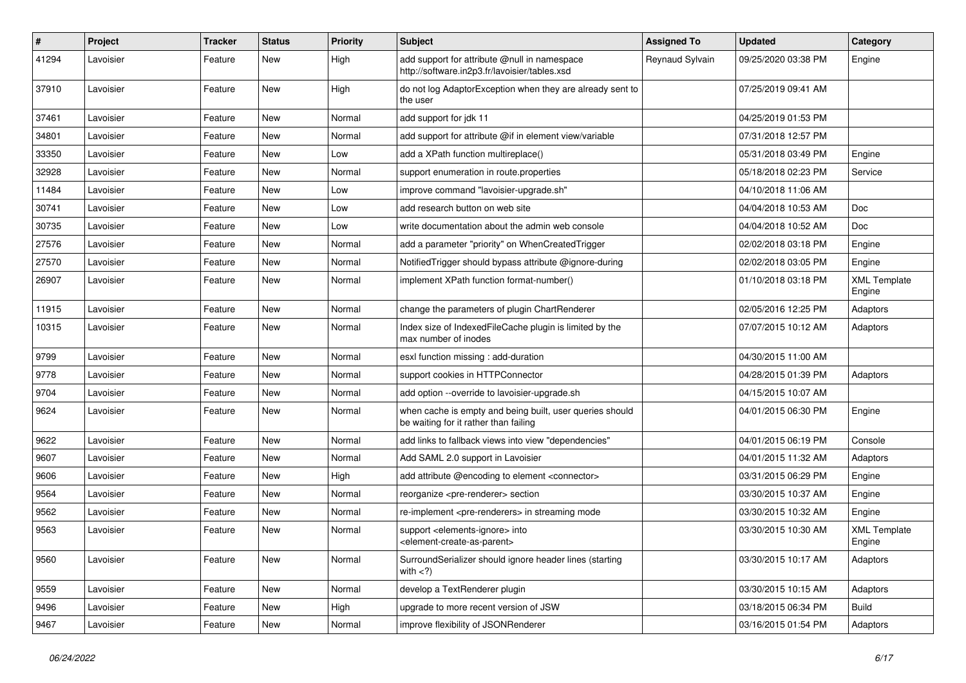| $\pmb{\#}$ | Project   | <b>Tracker</b> | <b>Status</b> | <b>Priority</b> | <b>Subject</b>                                                                                             | <b>Assigned To</b> | <b>Updated</b>      | Category                      |
|------------|-----------|----------------|---------------|-----------------|------------------------------------------------------------------------------------------------------------|--------------------|---------------------|-------------------------------|
| 41294      | Lavoisier | Feature        | New           | High            | add support for attribute @null in namespace<br>http://software.in2p3.fr/lavoisier/tables.xsd              | Reynaud Sylvain    | 09/25/2020 03:38 PM | Engine                        |
| 37910      | Lavoisier | Feature        | New           | High            | do not log AdaptorException when they are already sent to<br>the user                                      |                    | 07/25/2019 09:41 AM |                               |
| 37461      | Lavoisier | Feature        | New           | Normal          | add support for jdk 11                                                                                     |                    | 04/25/2019 01:53 PM |                               |
| 34801      | Lavoisier | Feature        | New           | Normal          | add support for attribute @if in element view/variable                                                     |                    | 07/31/2018 12:57 PM |                               |
| 33350      | Lavoisier | Feature        | New           | Low             | add a XPath function multireplace()                                                                        |                    | 05/31/2018 03:49 PM | Engine                        |
| 32928      | Lavoisier | Feature        | New           | Normal          | support enumeration in route.properties                                                                    |                    | 05/18/2018 02:23 PM | Service                       |
| 11484      | Lavoisier | Feature        | New           | Low             | improve command "lavoisier-upgrade.sh"                                                                     |                    | 04/10/2018 11:06 AM |                               |
| 30741      | Lavoisier | Feature        | New           | Low             | add research button on web site                                                                            |                    | 04/04/2018 10:53 AM | <b>Doc</b>                    |
| 30735      | Lavoisier | Feature        | New           | Low             | write documentation about the admin web console                                                            |                    | 04/04/2018 10:52 AM | <b>Doc</b>                    |
| 27576      | Lavoisier | Feature        | New           | Normal          | add a parameter "priority" on WhenCreatedTrigger                                                           |                    | 02/02/2018 03:18 PM | Engine                        |
| 27570      | Lavoisier | Feature        | New           | Normal          | Notified Trigger should bypass attribute @ignore-during                                                    |                    | 02/02/2018 03:05 PM | Engine                        |
| 26907      | Lavoisier | Feature        | New           | Normal          | implement XPath function format-number()                                                                   |                    | 01/10/2018 03:18 PM | <b>XML Template</b><br>Engine |
| 11915      | Lavoisier | Feature        | New           | Normal          | change the parameters of plugin ChartRenderer                                                              |                    | 02/05/2016 12:25 PM | Adaptors                      |
| 10315      | Lavoisier | Feature        | New           | Normal          | Index size of IndexedFileCache plugin is limited by the<br>max number of inodes                            |                    | 07/07/2015 10:12 AM | Adaptors                      |
| 9799       | Lavoisier | Feature        | New           | Normal          | esxl function missing: add-duration                                                                        |                    | 04/30/2015 11:00 AM |                               |
| 9778       | Lavoisier | Feature        | New           | Normal          | support cookies in HTTPConnector                                                                           |                    | 04/28/2015 01:39 PM | Adaptors                      |
| 9704       | Lavoisier | Feature        | New           | Normal          | add option --override to lavoisier-upgrade.sh                                                              |                    | 04/15/2015 10:07 AM |                               |
| 9624       | Lavoisier | Feature        | New           | Normal          | when cache is empty and being built, user queries should<br>be waiting for it rather than failing          |                    | 04/01/2015 06:30 PM | Engine                        |
| 9622       | Lavoisier | Feature        | New           | Normal          | add links to fallback views into view "dependencies"                                                       |                    | 04/01/2015 06:19 PM | Console                       |
| 9607       | Lavoisier | Feature        | New           | Normal          | Add SAML 2.0 support in Lavoisier                                                                          |                    | 04/01/2015 11:32 AM | Adaptors                      |
| 9606       | Lavoisier | Feature        | New           | High            | add attribute @encoding to element <connector></connector>                                                 |                    | 03/31/2015 06:29 PM | Engine                        |
| 9564       | Lavoisier | Feature        | New           | Normal          | reorganize <pre-renderer> section</pre-renderer>                                                           |                    | 03/30/2015 10:37 AM | Engine                        |
| 9562       | Lavoisier | Feature        | New           | Normal          | re-implement <pre-renderers> in streaming mode</pre-renderers>                                             |                    | 03/30/2015 10:32 AM | Engine                        |
| 9563       | Lavoisier | Feature        | New           | Normal          | support <elements-ignore> into<br/><element-create-as-parent></element-create-as-parent></elements-ignore> |                    | 03/30/2015 10:30 AM | <b>XML Template</b><br>Engine |
| 9560       | Lavoisier | Feature        | New           | Normal          | SurroundSerializer should ignore header lines (starting<br>with $<$ ?)                                     |                    | 03/30/2015 10:17 AM | Adaptors                      |
| 9559       | Lavoisier | Feature        | New           | Normal          | develop a TextRenderer plugin                                                                              |                    | 03/30/2015 10:15 AM | Adaptors                      |
| 9496       | Lavoisier | Feature        | New           | High            | upgrade to more recent version of JSW                                                                      |                    | 03/18/2015 06:34 PM | <b>Build</b>                  |
| 9467       | Lavoisier | Feature        | New           | Normal          | improve flexibility of JSONRenderer                                                                        |                    | 03/16/2015 01:54 PM | Adaptors                      |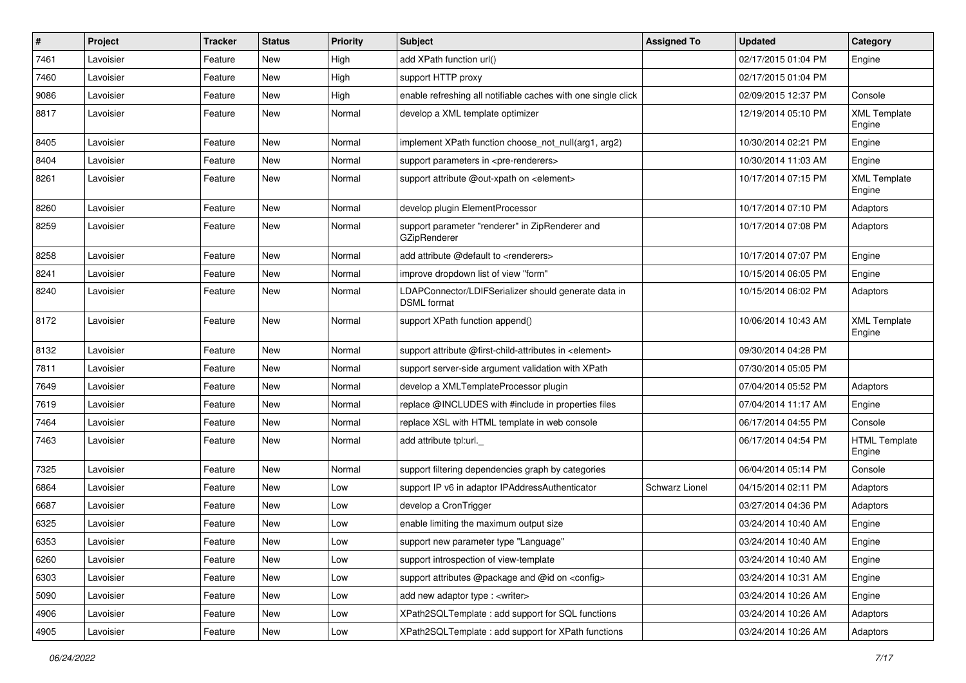| $\sharp$ | Project   | <b>Tracker</b> | <b>Status</b> | <b>Priority</b> | <b>Subject</b>                                                             | <b>Assigned To</b> | <b>Updated</b>      | Category                       |
|----------|-----------|----------------|---------------|-----------------|----------------------------------------------------------------------------|--------------------|---------------------|--------------------------------|
| 7461     | Lavoisier | Feature        | New           | High            | add XPath function url()                                                   |                    | 02/17/2015 01:04 PM | Engine                         |
| 7460     | Lavoisier | Feature        | <b>New</b>    | High            | support HTTP proxy                                                         |                    | 02/17/2015 01:04 PM |                                |
| 9086     | Lavoisier | Feature        | New           | High            | enable refreshing all notifiable caches with one single click              |                    | 02/09/2015 12:37 PM | Console                        |
| 8817     | Lavoisier | Feature        | New           | Normal          | develop a XML template optimizer                                           |                    | 12/19/2014 05:10 PM | <b>XML Template</b><br>Engine  |
| 8405     | Lavoisier | Feature        | <b>New</b>    | Normal          | implement XPath function choose not null(arg1, arg2)                       |                    | 10/30/2014 02:21 PM | Engine                         |
| 8404     | Lavoisier | Feature        | <b>New</b>    | Normal          | support parameters in <pre-renderers></pre-renderers>                      |                    | 10/30/2014 11:03 AM | Engine                         |
| 8261     | Lavoisier | Feature        | <b>New</b>    | Normal          | support attribute @out-xpath on <element></element>                        |                    | 10/17/2014 07:15 PM | <b>XML Template</b><br>Engine  |
| 8260     | Lavoisier | Feature        | <b>New</b>    | Normal          | develop plugin ElementProcessor                                            |                    | 10/17/2014 07:10 PM | Adaptors                       |
| 8259     | Lavoisier | Feature        | New           | Normal          | support parameter "renderer" in ZipRenderer and<br>GZipRenderer            |                    | 10/17/2014 07:08 PM | Adaptors                       |
| 8258     | Lavoisier | Feature        | New           | Normal          | add attribute @default to <renderers></renderers>                          |                    | 10/17/2014 07:07 PM | Engine                         |
| 8241     | Lavoisier | Feature        | New           | Normal          | improve dropdown list of view "form"                                       |                    | 10/15/2014 06:05 PM | Engine                         |
| 8240     | Lavoisier | Feature        | New           | Normal          | LDAPConnector/LDIFSerializer should generate data in<br><b>DSML</b> format |                    | 10/15/2014 06:02 PM | Adaptors                       |
| 8172     | Lavoisier | Feature        | <b>New</b>    | Normal          | support XPath function append()                                            |                    | 10/06/2014 10:43 AM | <b>XML Template</b><br>Engine  |
| 8132     | Lavoisier | Feature        | New           | Normal          | support attribute @first-child-attributes in <element></element>           |                    | 09/30/2014 04:28 PM |                                |
| 7811     | Lavoisier | Feature        | New           | Normal          | support server-side argument validation with XPath                         |                    | 07/30/2014 05:05 PM |                                |
| 7649     | Lavoisier | Feature        | <b>New</b>    | Normal          | develop a XMLTemplateProcessor plugin                                      |                    | 07/04/2014 05:52 PM | Adaptors                       |
| 7619     | Lavoisier | Feature        | New           | Normal          | replace @INCLUDES with #include in properties files                        |                    | 07/04/2014 11:17 AM | Engine                         |
| 7464     | Lavoisier | Feature        | New           | Normal          | replace XSL with HTML template in web console                              |                    | 06/17/2014 04:55 PM | Console                        |
| 7463     | Lavoisier | Feature        | New           | Normal          | add attribute tpl:url.                                                     |                    | 06/17/2014 04:54 PM | <b>HTML Template</b><br>Engine |
| 7325     | Lavoisier | Feature        | <b>New</b>    | Normal          | support filtering dependencies graph by categories                         |                    | 06/04/2014 05:14 PM | Console                        |
| 6864     | Lavoisier | Feature        | New           | Low             | support IP v6 in adaptor IPAddressAuthenticator                            | Schwarz Lionel     | 04/15/2014 02:11 PM | Adaptors                       |
| 6687     | Lavoisier | Feature        | New           | Low             | develop a CronTrigger                                                      |                    | 03/27/2014 04:36 PM | Adaptors                       |
| 6325     | Lavoisier | Feature        | <b>New</b>    | Low             | enable limiting the maximum output size                                    |                    | 03/24/2014 10:40 AM | Engine                         |
| 6353     | Lavoisier | Feature        | New           | Low             | support new parameter type "Language"                                      |                    | 03/24/2014 10:40 AM | Engine                         |
| 6260     | Lavoisier | Feature        | New           | Low             | support introspection of view-template                                     |                    | 03/24/2014 10:40 AM | Engine                         |
| 6303     | Lavoisier | Feature        | New           | Low             | support attributes @package and @id on <config></config>                   |                    | 03/24/2014 10:31 AM | Engine                         |
| 5090     | Lavoisier | Feature        | New           | Low             | add new adaptor type : <writer></writer>                                   |                    | 03/24/2014 10:26 AM | Engine                         |
| 4906     | Lavoisier | Feature        | New           | Low             | XPath2SQLTemplate : add support for SQL functions                          |                    | 03/24/2014 10:26 AM | Adaptors                       |
| 4905     | Lavoisier | Feature        | New           | Low             | XPath2SQLTemplate: add support for XPath functions                         |                    | 03/24/2014 10:26 AM | Adaptors                       |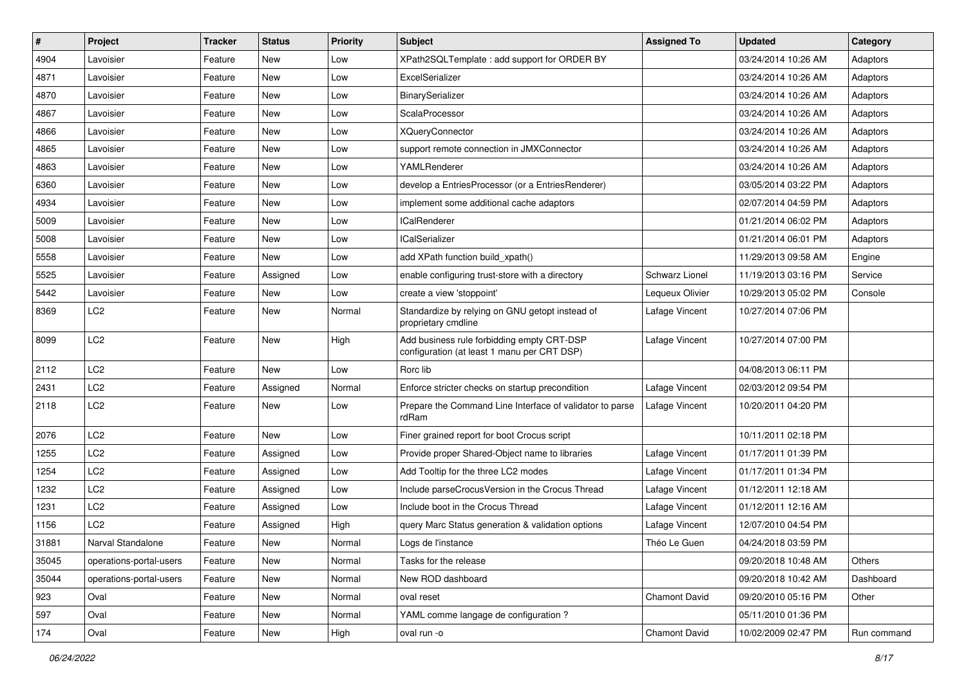| $\pmb{\#}$ | Project                 | <b>Tracker</b> | <b>Status</b> | <b>Priority</b> | <b>Subject</b>                                                                            | <b>Assigned To</b>   | Updated             | Category    |
|------------|-------------------------|----------------|---------------|-----------------|-------------------------------------------------------------------------------------------|----------------------|---------------------|-------------|
| 4904       | Lavoisier               | Feature        | New           | Low             | XPath2SQLTemplate: add support for ORDER BY                                               |                      | 03/24/2014 10:26 AM | Adaptors    |
| 4871       | Lavoisier               | Feature        | New           | Low             | ExcelSerializer                                                                           |                      | 03/24/2014 10:26 AM | Adaptors    |
| 4870       | Lavoisier               | Feature        | New           | Low             | BinarySerializer                                                                          |                      | 03/24/2014 10:26 AM | Adaptors    |
| 4867       | Lavoisier               | Feature        | New           | Low             | ScalaProcessor                                                                            |                      | 03/24/2014 10:26 AM | Adaptors    |
| 4866       | Lavoisier               | Feature        | New           | Low             | <b>XQueryConnector</b>                                                                    |                      | 03/24/2014 10:26 AM | Adaptors    |
| 4865       | Lavoisier               | Feature        | New           | Low             | support remote connection in JMXConnector                                                 |                      | 03/24/2014 10:26 AM | Adaptors    |
| 4863       | Lavoisier               | Feature        | New           | Low             | YAMLRenderer                                                                              |                      | 03/24/2014 10:26 AM | Adaptors    |
| 6360       | Lavoisier               | Feature        | New           | Low             | develop a EntriesProcessor (or a EntriesRenderer)                                         |                      | 03/05/2014 03:22 PM | Adaptors    |
| 4934       | Lavoisier               | Feature        | New           | Low             | implement some additional cache adaptors                                                  |                      | 02/07/2014 04:59 PM | Adaptors    |
| 5009       | Lavoisier               | Feature        | New           | Low             | <b>ICalRenderer</b>                                                                       |                      | 01/21/2014 06:02 PM | Adaptors    |
| 5008       | Lavoisier               | Feature        | New           | Low             | <b>ICalSerializer</b>                                                                     |                      | 01/21/2014 06:01 PM | Adaptors    |
| 5558       | Lavoisier               | Feature        | New           | Low             | add XPath function build xpath()                                                          |                      | 11/29/2013 09:58 AM | Engine      |
| 5525       | Lavoisier               | Feature        | Assigned      | Low             | enable configuring trust-store with a directory                                           | Schwarz Lionel       | 11/19/2013 03:16 PM | Service     |
| 5442       | Lavoisier               | Feature        | New           | Low             | create a view 'stoppoint'                                                                 | Lequeux Olivier      | 10/29/2013 05:02 PM | Console     |
| 8369       | LC <sub>2</sub>         | Feature        | New           | Normal          | Standardize by relying on GNU getopt instead of<br>proprietary cmdline                    | Lafage Vincent       | 10/27/2014 07:06 PM |             |
| 8099       | LC <sub>2</sub>         | Feature        | New           | High            | Add business rule forbidding empty CRT-DSP<br>configuration (at least 1 manu per CRT DSP) | Lafage Vincent       | 10/27/2014 07:00 PM |             |
| 2112       | LC <sub>2</sub>         | Feature        | New           | Low             | Rorc lib                                                                                  |                      | 04/08/2013 06:11 PM |             |
| 2431       | LC <sub>2</sub>         | Feature        | Assigned      | Normal          | Enforce stricter checks on startup precondition                                           | Lafage Vincent       | 02/03/2012 09:54 PM |             |
| 2118       | LC <sub>2</sub>         | Feature        | New           | Low             | Prepare the Command Line Interface of validator to parse<br>rdRam                         | Lafage Vincent       | 10/20/2011 04:20 PM |             |
| 2076       | LC <sub>2</sub>         | Feature        | New           | Low             | Finer grained report for boot Crocus script                                               |                      | 10/11/2011 02:18 PM |             |
| 1255       | LC <sub>2</sub>         | Feature        | Assigned      | Low             | Provide proper Shared-Object name to libraries                                            | Lafage Vincent       | 01/17/2011 01:39 PM |             |
| 1254       | LC <sub>2</sub>         | Feature        | Assigned      | Low             | Add Tooltip for the three LC2 modes                                                       | Lafage Vincent       | 01/17/2011 01:34 PM |             |
| 1232       | LC <sub>2</sub>         | Feature        | Assigned      | Low             | Include parseCrocusVersion in the Crocus Thread                                           | Lafage Vincent       | 01/12/2011 12:18 AM |             |
| 1231       | LC <sub>2</sub>         | Feature        | Assigned      | Low             | Include boot in the Crocus Thread                                                         | Lafage Vincent       | 01/12/2011 12:16 AM |             |
| 1156       | LC <sub>2</sub>         | Feature        | Assigned      | High            | query Marc Status generation & validation options                                         | Lafage Vincent       | 12/07/2010 04:54 PM |             |
| 31881      | Narval Standalone       | Feature        | New           | Normal          | Logs de l'instance                                                                        | Théo Le Guen         | 04/24/2018 03:59 PM |             |
| 35045      | operations-portal-users | Feature        | New           | Normal          | Tasks for the release                                                                     |                      | 09/20/2018 10:48 AM | Others      |
| 35044      | operations-portal-users | Feature        | New           | Normal          | New ROD dashboard                                                                         |                      | 09/20/2018 10:42 AM | Dashboard   |
| 923        | Oval                    | Feature        | New           | Normal          | oval reset                                                                                | <b>Chamont David</b> | 09/20/2010 05:16 PM | Other       |
| 597        | Oval                    | Feature        | New           | Normal          | YAML comme langage de configuration ?                                                     |                      | 05/11/2010 01:36 PM |             |
| 174        | Oval                    | Feature        | New           | High            | oval run -o                                                                               | <b>Chamont David</b> | 10/02/2009 02:47 PM | Run command |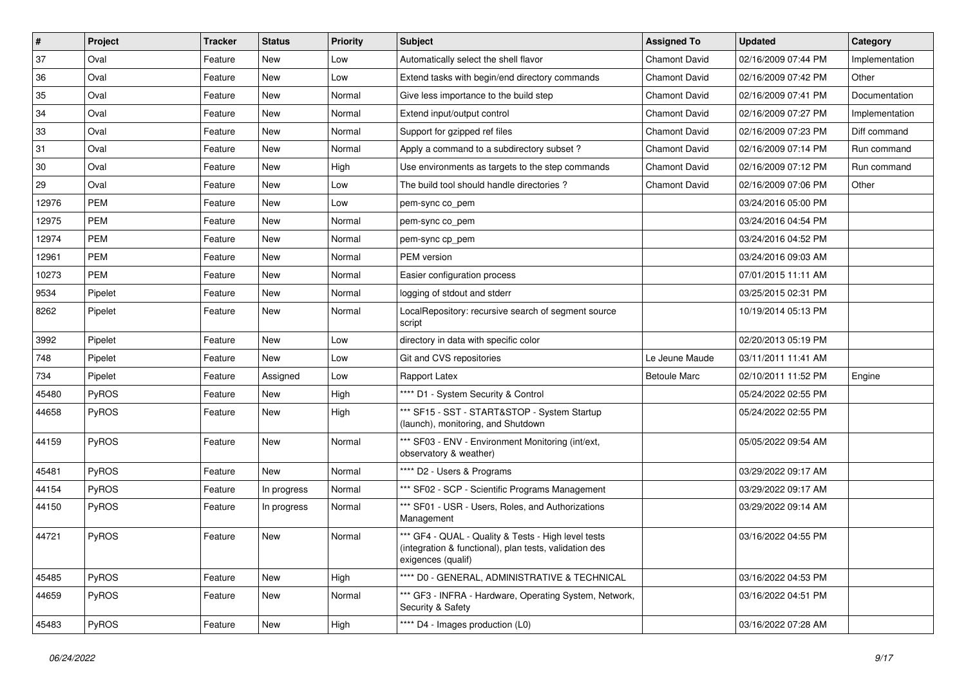| $\vert$ # | Project    | <b>Tracker</b> | <b>Status</b> | <b>Priority</b> | Subject                                                                                                                             | <b>Assigned To</b>   | <b>Updated</b>      | Category       |
|-----------|------------|----------------|---------------|-----------------|-------------------------------------------------------------------------------------------------------------------------------------|----------------------|---------------------|----------------|
| 37        | Oval       | Feature        | New           | Low             | Automatically select the shell flavor                                                                                               | <b>Chamont David</b> | 02/16/2009 07:44 PM | Implementation |
| 36        | Oval       | Feature        | New           | Low             | Extend tasks with begin/end directory commands                                                                                      | <b>Chamont David</b> | 02/16/2009 07:42 PM | Other          |
| 35        | Oval       | Feature        | New           | Normal          | Give less importance to the build step                                                                                              | <b>Chamont David</b> | 02/16/2009 07:41 PM | Documentation  |
| 34        | Oval       | Feature        | New           | Normal          | Extend input/output control                                                                                                         | <b>Chamont David</b> | 02/16/2009 07:27 PM | Implementation |
| 33        | Oval       | Feature        | New           | Normal          | Support for gzipped ref files                                                                                                       | <b>Chamont David</b> | 02/16/2009 07:23 PM | Diff command   |
| 31        | Oval       | Feature        | New           | Normal          | Apply a command to a subdirectory subset?                                                                                           | Chamont David        | 02/16/2009 07:14 PM | Run command    |
| 30        | Oval       | Feature        | New           | High            | Use environments as targets to the step commands                                                                                    | <b>Chamont David</b> | 02/16/2009 07:12 PM | Run command    |
| 29        | Oval       | Feature        | New           | Low             | The build tool should handle directories?                                                                                           | <b>Chamont David</b> | 02/16/2009 07:06 PM | Other          |
| 12976     | <b>PEM</b> | Feature        | New           | Low             | pem-sync co_pem                                                                                                                     |                      | 03/24/2016 05:00 PM |                |
| 12975     | <b>PEM</b> | Feature        | New           | Normal          | pem-sync co_pem                                                                                                                     |                      | 03/24/2016 04:54 PM |                |
| 12974     | <b>PEM</b> | Feature        | New           | Normal          | pem-sync cp_pem                                                                                                                     |                      | 03/24/2016 04:52 PM |                |
| 12961     | <b>PEM</b> | Feature        | New           | Normal          | PEM version                                                                                                                         |                      | 03/24/2016 09:03 AM |                |
| 10273     | <b>PEM</b> | Feature        | New           | Normal          | Easier configuration process                                                                                                        |                      | 07/01/2015 11:11 AM |                |
| 9534      | Pipelet    | Feature        | New           | Normal          | logging of stdout and stderr                                                                                                        |                      | 03/25/2015 02:31 PM |                |
| 8262      | Pipelet    | Feature        | New           | Normal          | LocalRepository: recursive search of segment source<br>script                                                                       |                      | 10/19/2014 05:13 PM |                |
| 3992      | Pipelet    | Feature        | New           | Low             | directory in data with specific color                                                                                               |                      | 02/20/2013 05:19 PM |                |
| 748       | Pipelet    | Feature        | <b>New</b>    | Low             | Git and CVS repositories                                                                                                            | Le Jeune Maude       | 03/11/2011 11:41 AM |                |
| 734       | Pipelet    | Feature        | Assigned      | Low             | Rapport Latex                                                                                                                       | <b>Betoule Marc</b>  | 02/10/2011 11:52 PM | Engine         |
| 45480     | PyROS      | Feature        | New           | High            | **** D1 - System Security & Control                                                                                                 |                      | 05/24/2022 02:55 PM |                |
| 44658     | PyROS      | Feature        | New           | High            | *** SF15 - SST - START&STOP - System Startup<br>(launch), monitoring, and Shutdown                                                  |                      | 05/24/2022 02:55 PM |                |
| 44159     | PyROS      | Feature        | New           | Normal          | *** SF03 - ENV - Environment Monitoring (int/ext,<br>observatory & weather)                                                         |                      | 05/05/2022 09:54 AM |                |
| 45481     | PyROS      | Feature        | New           | Normal          | **** D2 - Users & Programs                                                                                                          |                      | 03/29/2022 09:17 AM |                |
| 44154     | PyROS      | Feature        | In progress   | Normal          | *** SF02 - SCP - Scientific Programs Management                                                                                     |                      | 03/29/2022 09:17 AM |                |
| 44150     | PyROS      | Feature        | In progress   | Normal          | *** SF01 - USR - Users, Roles, and Authorizations<br>Management                                                                     |                      | 03/29/2022 09:14 AM |                |
| 44721     | PyROS      | Feature        | New           | Normal          | *** GF4 - QUAL - Quality & Tests - High level tests<br>(integration & functional), plan tests, validation des<br>exigences (qualif) |                      | 03/16/2022 04:55 PM |                |
| 45485     | PyROS      | Feature        | New           | High            | **** D0 - GENERAL, ADMINISTRATIVE & TECHNICAL                                                                                       |                      | 03/16/2022 04:53 PM |                |
| 44659     | PyROS      | Feature        | New           | Normal          | *** GF3 - INFRA - Hardware, Operating System, Network,<br>Security & Safety                                                         |                      | 03/16/2022 04:51 PM |                |
| 45483     | PyROS      | Feature        | New           | High            | **** D4 - Images production (L0)                                                                                                    |                      | 03/16/2022 07:28 AM |                |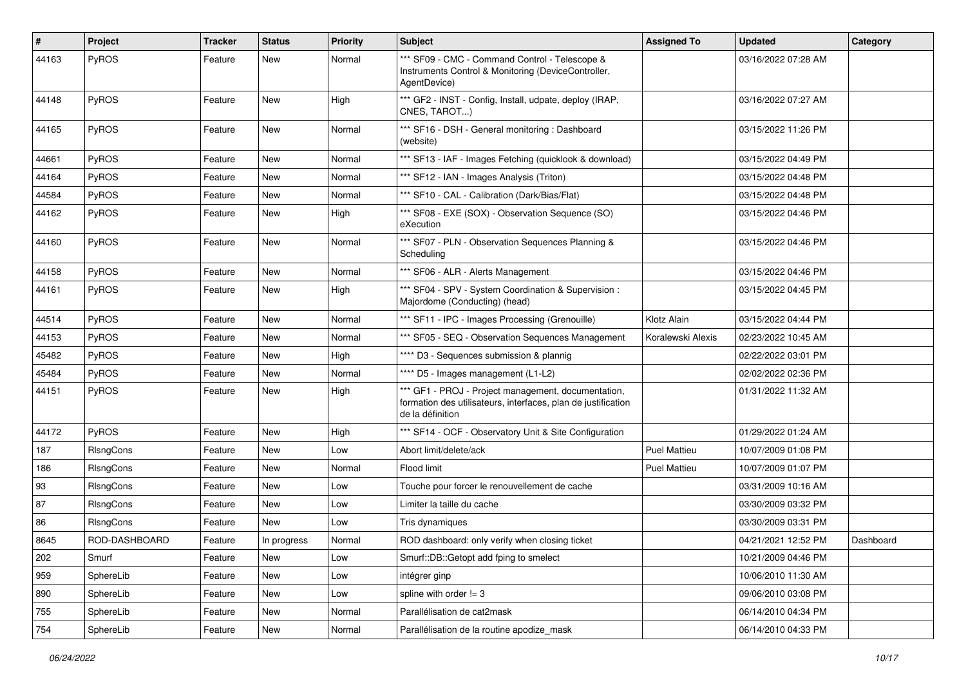| $\vert$ # | <b>Project</b>   | <b>Tracker</b> | <b>Status</b> | <b>Priority</b> | <b>Subject</b>                                                                                                                           | <b>Assigned To</b>  | <b>Updated</b>      | Category  |
|-----------|------------------|----------------|---------------|-----------------|------------------------------------------------------------------------------------------------------------------------------------------|---------------------|---------------------|-----------|
| 44163     | PyROS            | Feature        | New           | Normal          | *** SF09 - CMC - Command Control - Telescope &<br>Instruments Control & Monitoring (DeviceController,<br>AgentDevice)                    |                     | 03/16/2022 07:28 AM |           |
| 44148     | PyROS            | Feature        | New           | High            | *** GF2 - INST - Config, Install, udpate, deploy (IRAP,<br>CNES, TAROT)                                                                  |                     | 03/16/2022 07:27 AM |           |
| 44165     | PyROS            | Feature        | <b>New</b>    | Normal          | *** SF16 - DSH - General monitoring: Dashboard<br>(website)                                                                              |                     | 03/15/2022 11:26 PM |           |
| 44661     | PyROS            | Feature        | New           | Normal          | *** SF13 - IAF - Images Fetching (quicklook & download)                                                                                  |                     | 03/15/2022 04:49 PM |           |
| 44164     | PyROS            | Feature        | New           | Normal          | *** SF12 - IAN - Images Analysis (Triton)                                                                                                |                     | 03/15/2022 04:48 PM |           |
| 44584     | PyROS            | Feature        | New           | Normal          | *** SF10 - CAL - Calibration (Dark/Bias/Flat)                                                                                            |                     | 03/15/2022 04:48 PM |           |
| 44162     | <b>PyROS</b>     | Feature        | New           | High            | *** SF08 - EXE (SOX) - Observation Sequence (SO)<br>eXecution                                                                            |                     | 03/15/2022 04:46 PM |           |
| 44160     | PyROS            | Feature        | <b>New</b>    | Normal          | *** SF07 - PLN - Observation Sequences Planning &<br>Scheduling                                                                          |                     | 03/15/2022 04:46 PM |           |
| 44158     | PyROS            | Feature        | New           | Normal          | *** SF06 - ALR - Alerts Management                                                                                                       |                     | 03/15/2022 04:46 PM |           |
| 44161     | PyROS            | Feature        | New           | High            | *** SF04 - SPV - System Coordination & Supervision :<br>Majordome (Conducting) (head)                                                    |                     | 03/15/2022 04:45 PM |           |
| 44514     | PyROS            | Feature        | New           | Normal          | *** SF11 - IPC - Images Processing (Grenouille)                                                                                          | Klotz Alain         | 03/15/2022 04:44 PM |           |
| 44153     | <b>PyROS</b>     | Feature        | New           | Normal          | *** SF05 - SEQ - Observation Sequences Management                                                                                        | Koralewski Alexis   | 02/23/2022 10:45 AM |           |
| 45482     | PyROS            | Feature        | New           | High            | **** D3 - Sequences submission & plannig                                                                                                 |                     | 02/22/2022 03:01 PM |           |
| 45484     | PyROS            | Feature        | <b>New</b>    | Normal          | **** D5 - Images management (L1-L2)                                                                                                      |                     | 02/02/2022 02:36 PM |           |
| 44151     | PyROS            | Feature        | New           | High            | *** GF1 - PROJ - Project management, documentation,<br>formation des utilisateurs, interfaces, plan de justification<br>de la définition |                     | 01/31/2022 11:32 AM |           |
| 44172     | PyROS            | Feature        | <b>New</b>    | High            | *** SF14 - OCF - Observatory Unit & Site Configuration                                                                                   |                     | 01/29/2022 01:24 AM |           |
| 187       | RIsngCons        | Feature        | <b>New</b>    | Low             | Abort limit/delete/ack                                                                                                                   | <b>Puel Mattieu</b> | 10/07/2009 01:08 PM |           |
| 186       | <b>RIsngCons</b> | Feature        | New           | Normal          | Flood limit                                                                                                                              | <b>Puel Mattieu</b> | 10/07/2009 01:07 PM |           |
| 93        | RIsngCons        | Feature        | New           | Low             | Touche pour forcer le renouvellement de cache                                                                                            |                     | 03/31/2009 10:16 AM |           |
| 87        | RIsngCons        | Feature        | New           | Low             | Limiter la taille du cache                                                                                                               |                     | 03/30/2009 03:32 PM |           |
| 86        | RIsngCons        | Feature        | New           | Low             | Tris dynamiques                                                                                                                          |                     | 03/30/2009 03:31 PM |           |
| 8645      | ROD-DASHBOARD    | Feature        | In progress   | Normal          | ROD dashboard: only verify when closing ticket                                                                                           |                     | 04/21/2021 12:52 PM | Dashboard |
| 202       | Smurf            | Feature        | New           | Low             | Smurf::DB::Getopt add fping to smelect                                                                                                   |                     | 10/21/2009 04:46 PM |           |
| 959       | SphereLib        | Feature        | New           | Low             | intégrer ginp                                                                                                                            |                     | 10/06/2010 11:30 AM |           |
| 890       | SphereLib        | Feature        | New           | Low             | spline with order $!=$ 3                                                                                                                 |                     | 09/06/2010 03:08 PM |           |
| 755       | SphereLib        | Feature        | New           | Normal          | Parallélisation de cat2mask                                                                                                              |                     | 06/14/2010 04:34 PM |           |
| 754       | SphereLib        | Feature        | New           | Normal          | Parallélisation de la routine apodize_mask                                                                                               |                     | 06/14/2010 04:33 PM |           |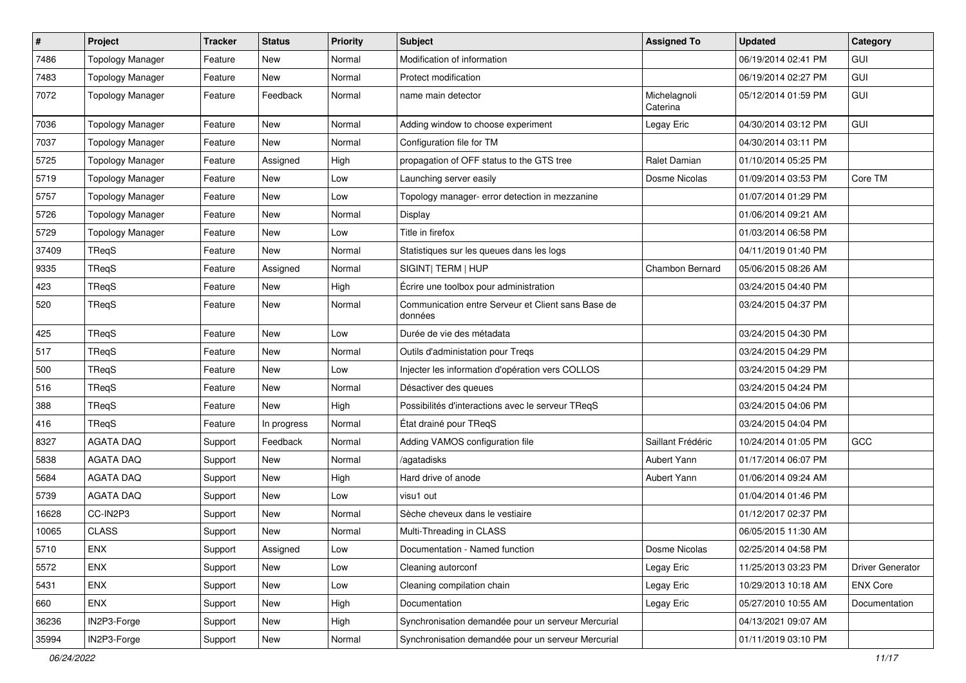| $\vert$ # | Project                 | <b>Tracker</b> | <b>Status</b> | <b>Priority</b> | Subject                                                       | <b>Assigned To</b>       | <b>Updated</b>      | Category                |
|-----------|-------------------------|----------------|---------------|-----------------|---------------------------------------------------------------|--------------------------|---------------------|-------------------------|
| 7486      | <b>Topology Manager</b> | Feature        | New           | Normal          | Modification of information                                   |                          | 06/19/2014 02:41 PM | GUI                     |
| 7483      | <b>Topology Manager</b> | Feature        | New           | Normal          | Protect modification                                          |                          | 06/19/2014 02:27 PM | GUI                     |
| 7072      | <b>Topology Manager</b> | Feature        | Feedback      | Normal          | name main detector                                            | Michelagnoli<br>Caterina | 05/12/2014 01:59 PM | GUI                     |
| 7036      | <b>Topology Manager</b> | Feature        | New           | Normal          | Adding window to choose experiment                            | Legay Eric               | 04/30/2014 03:12 PM | <b>GUI</b>              |
| 7037      | <b>Topology Manager</b> | Feature        | New           | Normal          | Configuration file for TM                                     |                          | 04/30/2014 03:11 PM |                         |
| 5725      | <b>Topology Manager</b> | Feature        | Assigned      | High            | propagation of OFF status to the GTS tree                     | Ralet Damian             | 01/10/2014 05:25 PM |                         |
| 5719      | <b>Topology Manager</b> | Feature        | New           | Low             | Launching server easily                                       | Dosme Nicolas            | 01/09/2014 03:53 PM | Core TM                 |
| 5757      | <b>Topology Manager</b> | Feature        | New           | Low             | Topology manager- error detection in mezzanine                |                          | 01/07/2014 01:29 PM |                         |
| 5726      | <b>Topology Manager</b> | Feature        | New           | Normal          | Display                                                       |                          | 01/06/2014 09:21 AM |                         |
| 5729      | <b>Topology Manager</b> | Feature        | New           | Low             | Title in firefox                                              |                          | 01/03/2014 06:58 PM |                         |
| 37409     | TReqS                   | Feature        | New           | Normal          | Statistiques sur les queues dans les logs                     |                          | 04/11/2019 01:40 PM |                         |
| 9335      | TReqS                   | Feature        | Assigned      | Normal          | SIGINT  TERM   HUP                                            | <b>Chambon Bernard</b>   | 05/06/2015 08:26 AM |                         |
| 423       | TReqS                   | Feature        | New           | High            | Écrire une toolbox pour administration                        |                          | 03/24/2015 04:40 PM |                         |
| 520       | TReqS                   | Feature        | New           | Normal          | Communication entre Serveur et Client sans Base de<br>données |                          | 03/24/2015 04:37 PM |                         |
| 425       | TReqS                   | Feature        | New           | Low             | Durée de vie des métadata                                     |                          | 03/24/2015 04:30 PM |                         |
| 517       | TReqS                   | Feature        | New           | Normal          | Outils d'administation pour Treqs                             |                          | 03/24/2015 04:29 PM |                         |
| 500       | TReqS                   | Feature        | New           | Low             | Injecter les information d'opération vers COLLOS              |                          | 03/24/2015 04:29 PM |                         |
| 516       | TReqS                   | Feature        | New           | Normal          | Désactiver des queues                                         |                          | 03/24/2015 04:24 PM |                         |
| 388       | TReqS                   | Feature        | New           | High            | Possibilités d'interactions avec le serveur TReqS             |                          | 03/24/2015 04:06 PM |                         |
| 416       | TRegS                   | Feature        | In progress   | Normal          | État drainé pour TReqS                                        |                          | 03/24/2015 04:04 PM |                         |
| 8327      | <b>AGATA DAQ</b>        | Support        | Feedback      | Normal          | Adding VAMOS configuration file                               | Saillant Frédéric        | 10/24/2014 01:05 PM | GCC                     |
| 5838      | AGATA DAQ               | Support        | New           | Normal          | /agatadisks                                                   | Aubert Yann              | 01/17/2014 06:07 PM |                         |
| 5684      | <b>AGATA DAQ</b>        | Support        | New           | High            | Hard drive of anode                                           | Aubert Yann              | 01/06/2014 09:24 AM |                         |
| 5739      | <b>AGATA DAO</b>        | Support        | New           | Low             | visu1 out                                                     |                          | 01/04/2014 01:46 PM |                         |
| 16628     | CC-IN2P3                | Support        | New           | Normal          | Sèche cheveux dans le vestiaire                               |                          | 01/12/2017 02:37 PM |                         |
| 10065     | <b>CLASS</b>            | Support        | New           | Normal          | Multi-Threading in CLASS                                      |                          | 06/05/2015 11:30 AM |                         |
| 5710      | <b>ENX</b>              | Support        | Assigned      | Low             | Documentation - Named function                                | Dosme Nicolas            | 02/25/2014 04:58 PM |                         |
| 5572      | ENX                     | Support        | New           | Low             | Cleaning autorconf                                            | Legay Eric               | 11/25/2013 03:23 PM | <b>Driver Generator</b> |
| 5431      | <b>ENX</b>              | Support        | New           | Low             | Cleaning compilation chain                                    | Legay Eric               | 10/29/2013 10:18 AM | <b>ENX Core</b>         |
| 660       | ENX                     | Support        | New           | High            | Documentation                                                 | Legay Eric               | 05/27/2010 10:55 AM | Documentation           |
| 36236     | IN2P3-Forge             | Support        | New           | High            | Synchronisation demandée pour un serveur Mercurial            |                          | 04/13/2021 09:07 AM |                         |
| 35994     | IN2P3-Forge             | Support        | New           | Normal          | Synchronisation demandée pour un serveur Mercurial            |                          | 01/11/2019 03:10 PM |                         |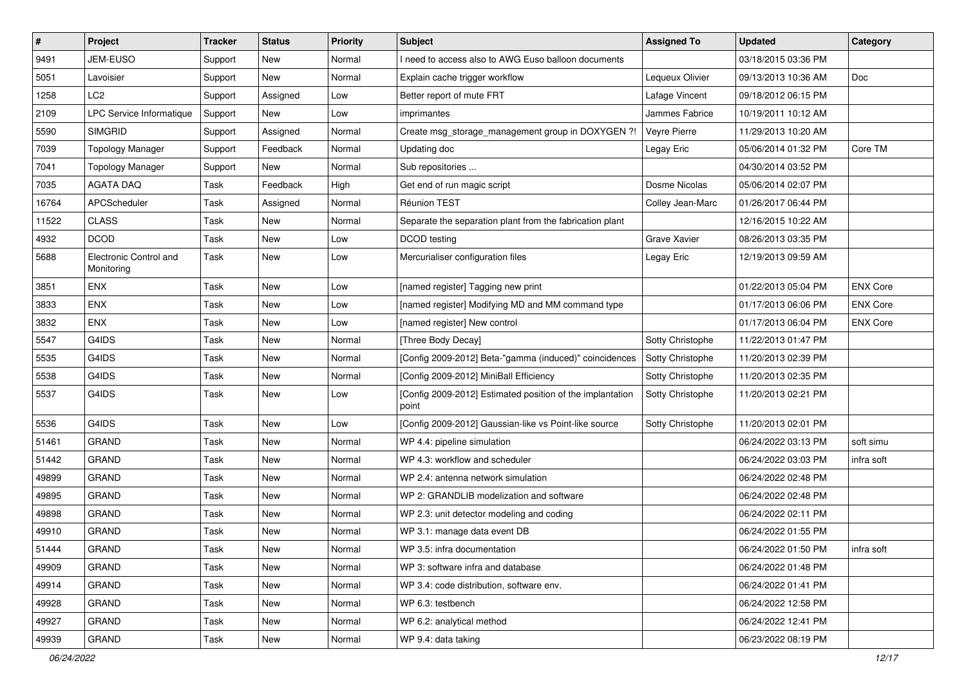| $\pmb{\#}$ | Project                              | <b>Tracker</b> | <b>Status</b> | <b>Priority</b> | <b>Subject</b>                                                     | <b>Assigned To</b> | <b>Updated</b>      | Category        |
|------------|--------------------------------------|----------------|---------------|-----------------|--------------------------------------------------------------------|--------------------|---------------------|-----------------|
| 9491       | JEM-EUSO                             | Support        | New           | Normal          | I need to access also to AWG Euso balloon documents                |                    | 03/18/2015 03:36 PM |                 |
| 5051       | Lavoisier                            | Support        | <b>New</b>    | Normal          | Explain cache trigger workflow                                     | Lequeux Olivier    | 09/13/2013 10:36 AM | Doc             |
| 1258       | LC2                                  | Support        | Assigned      | Low             | Better report of mute FRT                                          | Lafage Vincent     | 09/18/2012 06:15 PM |                 |
| 2109       | LPC Service Informatique             | Support        | New           | Low             | imprimantes                                                        | Jammes Fabrice     | 10/19/2011 10:12 AM |                 |
| 5590       | <b>SIMGRID</b>                       | Support        | Assigned      | Normal          | Create msg_storage_management group in DOXYGEN ?!                  | Veyre Pierre       | 11/29/2013 10:20 AM |                 |
| 7039       | <b>Topology Manager</b>              | Support        | Feedback      | Normal          | Updating doc                                                       | Legay Eric         | 05/06/2014 01:32 PM | Core TM         |
| 7041       | <b>Topology Manager</b>              | Support        | New           | Normal          | Sub repositories                                                   |                    | 04/30/2014 03:52 PM |                 |
| 7035       | <b>AGATA DAQ</b>                     | Task           | Feedback      | High            | Get end of run magic script                                        | Dosme Nicolas      | 05/06/2014 02:07 PM |                 |
| 16764      | APCScheduler                         | Task           | Assigned      | Normal          | Réunion TEST                                                       | Colley Jean-Marc   | 01/26/2017 06:44 PM |                 |
| 11522      | <b>CLASS</b>                         | Task           | <b>New</b>    | Normal          | Separate the separation plant from the fabrication plant           |                    | 12/16/2015 10:22 AM |                 |
| 4932       | <b>DCOD</b>                          | Task           | New           | Low             | DCOD testing                                                       | Grave Xavier       | 08/26/2013 03:35 PM |                 |
| 5688       | Electronic Control and<br>Monitoring | Task           | New           | Low             | Mercurialiser configuration files                                  | Legay Eric         | 12/19/2013 09:59 AM |                 |
| 3851       | <b>ENX</b>                           | Task           | <b>New</b>    | Low             | [named register] Tagging new print                                 |                    | 01/22/2013 05:04 PM | <b>ENX Core</b> |
| 3833       | <b>ENX</b>                           | Task           | <b>New</b>    | Low             | [named register] Modifying MD and MM command type                  |                    | 01/17/2013 06:06 PM | <b>ENX Core</b> |
| 3832       | <b>ENX</b>                           | Task           | New           | Low             | [named register] New control                                       |                    | 01/17/2013 06:04 PM | <b>ENX Core</b> |
| 5547       | G4IDS                                | Task           | New           | Normal          | [Three Body Decay]                                                 | Sotty Christophe   | 11/22/2013 01:47 PM |                 |
| 5535       | G4IDS                                | Task           | <b>New</b>    | Normal          | [Config 2009-2012] Beta-"gamma (induced)" coincidences             | Sotty Christophe   | 11/20/2013 02:39 PM |                 |
| 5538       | G4IDS                                | Task           | <b>New</b>    | Normal          | [Config 2009-2012] MiniBall Efficiency                             | Sotty Christophe   | 11/20/2013 02:35 PM |                 |
| 5537       | G4IDS                                | Task           | New           | Low             | [Config 2009-2012] Estimated position of the implantation<br>point | Sotty Christophe   | 11/20/2013 02:21 PM |                 |
| 5536       | G4IDS                                | Task           | <b>New</b>    | Low             | [Config 2009-2012] Gaussian-like vs Point-like source              | Sotty Christophe   | 11/20/2013 02:01 PM |                 |
| 51461      | <b>GRAND</b>                         | Task           | <b>New</b>    | Normal          | WP 4.4: pipeline simulation                                        |                    | 06/24/2022 03:13 PM | soft simu       |
| 51442      | <b>GRAND</b>                         | Task           | New           | Normal          | WP 4.3: workflow and scheduler                                     |                    | 06/24/2022 03:03 PM | infra soft      |
| 49899      | <b>GRAND</b>                         | Task           | New           | Normal          | WP 2.4: antenna network simulation                                 |                    | 06/24/2022 02:48 PM |                 |
| 49895      | <b>GRAND</b>                         | Task           | <b>New</b>    | Normal          | WP 2: GRANDLIB modelization and software                           |                    | 06/24/2022 02:48 PM |                 |
| 49898      | <b>GRAND</b>                         | Task           | New           | Normal          | WP 2.3: unit detector modeling and coding                          |                    | 06/24/2022 02:11 PM |                 |
| 49910      | <b>GRAND</b>                         | Task           | <b>New</b>    | Normal          | WP 3.1: manage data event DB                                       |                    | 06/24/2022 01:55 PM |                 |
| 51444      | GRAND                                | Task           | New           | Normal          | WP 3.5: infra documentation                                        |                    | 06/24/2022 01:50 PM | infra soft      |
| 49909      | <b>GRAND</b>                         | Task           | New           | Normal          | WP 3: software infra and database                                  |                    | 06/24/2022 01:48 PM |                 |
| 49914      | GRAND                                | Task           | New           | Normal          | WP 3.4: code distribution, software env.                           |                    | 06/24/2022 01:41 PM |                 |
| 49928      | <b>GRAND</b>                         | Task           | New           | Normal          | WP 6.3: testbench                                                  |                    | 06/24/2022 12:58 PM |                 |
| 49927      | <b>GRAND</b>                         | Task           | New           | Normal          | WP 6.2: analytical method                                          |                    | 06/24/2022 12:41 PM |                 |
| 49939      | GRAND                                | Task           | New           | Normal          | WP 9.4: data taking                                                |                    | 06/23/2022 08:19 PM |                 |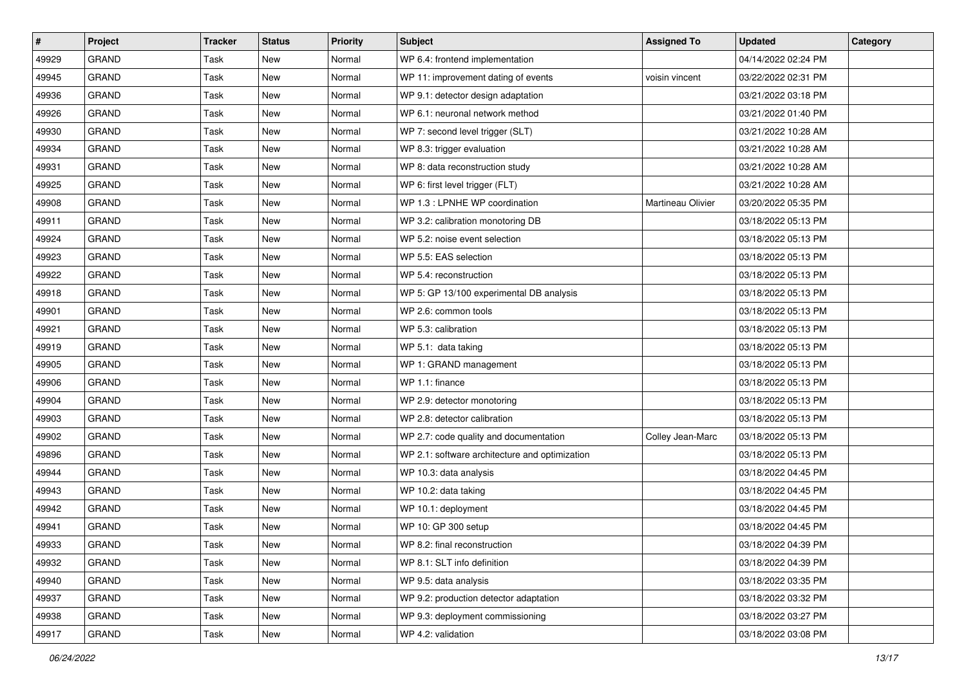| $\vert$ # | Project      | <b>Tracker</b> | <b>Status</b> | <b>Priority</b> | <b>Subject</b>                                 | <b>Assigned To</b> | <b>Updated</b>      | Category |
|-----------|--------------|----------------|---------------|-----------------|------------------------------------------------|--------------------|---------------------|----------|
| 49929     | <b>GRAND</b> | Task           | <b>New</b>    | Normal          | WP 6.4: frontend implementation                |                    | 04/14/2022 02:24 PM |          |
| 49945     | <b>GRAND</b> | Task           | <b>New</b>    | Normal          | WP 11: improvement dating of events            | voisin vincent     | 03/22/2022 02:31 PM |          |
| 49936     | <b>GRAND</b> | Task           | <b>New</b>    | Normal          | WP 9.1: detector design adaptation             |                    | 03/21/2022 03:18 PM |          |
| 49926     | <b>GRAND</b> | Task           | <b>New</b>    | Normal          | WP 6.1: neuronal network method                |                    | 03/21/2022 01:40 PM |          |
| 49930     | <b>GRAND</b> | Task           | <b>New</b>    | Normal          | WP 7: second level trigger (SLT)               |                    | 03/21/2022 10:28 AM |          |
| 49934     | <b>GRAND</b> | Task           | New           | Normal          | WP 8.3: trigger evaluation                     |                    | 03/21/2022 10:28 AM |          |
| 49931     | <b>GRAND</b> | Task           | <b>New</b>    | Normal          | WP 8: data reconstruction study                |                    | 03/21/2022 10:28 AM |          |
| 49925     | <b>GRAND</b> | Task           | New           | Normal          | WP 6: first level trigger (FLT)                |                    | 03/21/2022 10:28 AM |          |
| 49908     | <b>GRAND</b> | Task           | New           | Normal          | WP 1.3 : LPNHE WP coordination                 | Martineau Olivier  | 03/20/2022 05:35 PM |          |
| 49911     | <b>GRAND</b> | Task           | New           | Normal          | WP 3.2: calibration monotoring DB              |                    | 03/18/2022 05:13 PM |          |
| 49924     | <b>GRAND</b> | Task           | New           | Normal          | WP 5.2: noise event selection                  |                    | 03/18/2022 05:13 PM |          |
| 49923     | <b>GRAND</b> | Task           | New           | Normal          | WP 5.5: EAS selection                          |                    | 03/18/2022 05:13 PM |          |
| 49922     | <b>GRAND</b> | Task           | New           | Normal          | WP 5.4: reconstruction                         |                    | 03/18/2022 05:13 PM |          |
| 49918     | <b>GRAND</b> | Task           | <b>New</b>    | Normal          | WP 5: GP 13/100 experimental DB analysis       |                    | 03/18/2022 05:13 PM |          |
| 49901     | <b>GRAND</b> | Task           | <b>New</b>    | Normal          | WP 2.6: common tools                           |                    | 03/18/2022 05:13 PM |          |
| 49921     | <b>GRAND</b> | Task           | New           | Normal          | WP 5.3: calibration                            |                    | 03/18/2022 05:13 PM |          |
| 49919     | <b>GRAND</b> | Task           | New           | Normal          | WP 5.1: data taking                            |                    | 03/18/2022 05:13 PM |          |
| 49905     | <b>GRAND</b> | Task           | New           | Normal          | WP 1: GRAND management                         |                    | 03/18/2022 05:13 PM |          |
| 49906     | <b>GRAND</b> | Task           | New           | Normal          | WP 1.1: finance                                |                    | 03/18/2022 05:13 PM |          |
| 49904     | <b>GRAND</b> | Task           | New           | Normal          | WP 2.9: detector monotoring                    |                    | 03/18/2022 05:13 PM |          |
| 49903     | <b>GRAND</b> | Task           | New           | Normal          | WP 2.8: detector calibration                   |                    | 03/18/2022 05:13 PM |          |
| 49902     | <b>GRAND</b> | Task           | New           | Normal          | WP 2.7: code quality and documentation         | Colley Jean-Marc   | 03/18/2022 05:13 PM |          |
| 49896     | GRAND        | Task           | New           | Normal          | WP 2.1: software architecture and optimization |                    | 03/18/2022 05:13 PM |          |
| 49944     | <b>GRAND</b> | Task           | New           | Normal          | WP 10.3: data analysis                         |                    | 03/18/2022 04:45 PM |          |
| 49943     | <b>GRAND</b> | Task           | New           | Normal          | WP 10.2: data taking                           |                    | 03/18/2022 04:45 PM |          |
| 49942     | <b>GRAND</b> | Task           | New           | Normal          | WP 10.1: deployment                            |                    | 03/18/2022 04:45 PM |          |
| 49941     | <b>GRAND</b> | Task           | <b>New</b>    | Normal          | WP 10: GP 300 setup                            |                    | 03/18/2022 04:45 PM |          |
| 49933     | GRAND        | Task           | New           | Normal          | WP 8.2: final reconstruction                   |                    | 03/18/2022 04:39 PM |          |
| 49932     | <b>GRAND</b> | Task           | New           | Normal          | WP 8.1: SLT info definition                    |                    | 03/18/2022 04:39 PM |          |
| 49940     | <b>GRAND</b> | Task           | New           | Normal          | WP 9.5: data analysis                          |                    | 03/18/2022 03:35 PM |          |
| 49937     | GRAND        | Task           | New           | Normal          | WP 9.2: production detector adaptation         |                    | 03/18/2022 03:32 PM |          |
| 49938     | GRAND        | Task           | New           | Normal          | WP 9.3: deployment commissioning               |                    | 03/18/2022 03:27 PM |          |
| 49917     | GRAND        | Task           | New           | Normal          | WP 4.2: validation                             |                    | 03/18/2022 03:08 PM |          |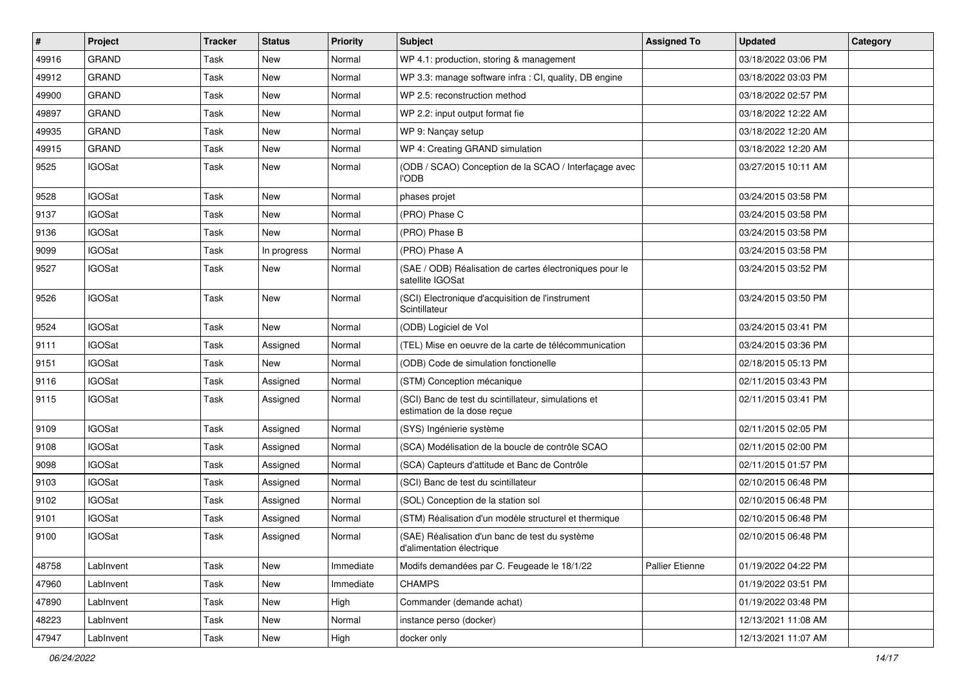| #     | Project       | <b>Tracker</b> | <b>Status</b> | <b>Priority</b> | Subject                                                                            | <b>Assigned To</b>     | <b>Updated</b>      | Category |
|-------|---------------|----------------|---------------|-----------------|------------------------------------------------------------------------------------|------------------------|---------------------|----------|
| 49916 | <b>GRAND</b>  | Task           | <b>New</b>    | Normal          | WP 4.1: production, storing & management                                           |                        | 03/18/2022 03:06 PM |          |
| 49912 | <b>GRAND</b>  | Task           | <b>New</b>    | Normal          | WP 3.3: manage software infra : CI, quality, DB engine                             |                        | 03/18/2022 03:03 PM |          |
| 49900 | <b>GRAND</b>  | Task           | <b>New</b>    | Normal          | WP 2.5: reconstruction method                                                      |                        | 03/18/2022 02:57 PM |          |
| 49897 | <b>GRAND</b>  | Task           | New           | Normal          | WP 2.2: input output format fie                                                    |                        | 03/18/2022 12:22 AM |          |
| 49935 | <b>GRAND</b>  | Task           | <b>New</b>    | Normal          | WP 9: Nançay setup                                                                 |                        | 03/18/2022 12:20 AM |          |
| 49915 | <b>GRAND</b>  | Task           | New           | Normal          | WP 4: Creating GRAND simulation                                                    |                        | 03/18/2022 12:20 AM |          |
| 9525  | <b>IGOSat</b> | Task           | New           | Normal          | (ODB / SCAO) Conception de la SCAO / Interfaçage avec<br><b>I'ODB</b>              |                        | 03/27/2015 10:11 AM |          |
| 9528  | <b>IGOSat</b> | Task           | <b>New</b>    | Normal          | phases projet                                                                      |                        | 03/24/2015 03:58 PM |          |
| 9137  | <b>IGOSat</b> | Task           | New           | Normal          | (PRO) Phase C                                                                      |                        | 03/24/2015 03:58 PM |          |
| 9136  | <b>IGOSat</b> | Task           | New           | Normal          | (PRO) Phase B                                                                      |                        | 03/24/2015 03:58 PM |          |
| 9099  | <b>IGOSat</b> | Task           | In progress   | Normal          | (PRO) Phase A                                                                      |                        | 03/24/2015 03:58 PM |          |
| 9527  | <b>IGOSat</b> | Task           | New           | Normal          | (SAE / ODB) Réalisation de cartes électroniques pour le<br>satellite IGOSat        |                        | 03/24/2015 03:52 PM |          |
| 9526  | <b>IGOSat</b> | Task           | New           | Normal          | (SCI) Electronique d'acquisition de l'instrument<br>Scintillateur                  |                        | 03/24/2015 03:50 PM |          |
| 9524  | <b>IGOSat</b> | Task           | New           | Normal          | (ODB) Logiciel de Vol                                                              |                        | 03/24/2015 03:41 PM |          |
| 9111  | <b>IGOSat</b> | Task           | Assigned      | Normal          | (TEL) Mise en oeuvre de la carte de télécommunication                              |                        | 03/24/2015 03:36 PM |          |
| 9151  | <b>IGOSat</b> | Task           | <b>New</b>    | Normal          | (ODB) Code de simulation fonctionelle                                              |                        | 02/18/2015 05:13 PM |          |
| 9116  | <b>IGOSat</b> | Task           | Assigned      | Normal          | (STM) Conception mécanique                                                         |                        | 02/11/2015 03:43 PM |          |
| 9115  | <b>IGOSat</b> | Task           | Assigned      | Normal          | (SCI) Banc de test du scintillateur, simulations et<br>estimation de la dose reçue |                        | 02/11/2015 03:41 PM |          |
| 9109  | <b>IGOSat</b> | Task           | Assigned      | Normal          | (SYS) Ingénierie système                                                           |                        | 02/11/2015 02:05 PM |          |
| 9108  | <b>IGOSat</b> | Task           | Assigned      | Normal          | (SCA) Modélisation de la boucle de contrôle SCAO                                   |                        | 02/11/2015 02:00 PM |          |
| 9098  | <b>IGOSat</b> | Task           | Assigned      | Normal          | (SCA) Capteurs d'attitude et Banc de Contrôle                                      |                        | 02/11/2015 01:57 PM |          |
| 9103  | <b>IGOSat</b> | Task           | Assigned      | Normal          | (SCI) Banc de test du scintillateur                                                |                        | 02/10/2015 06:48 PM |          |
| 9102  | <b>IGOSat</b> | Task           | Assigned      | Normal          | (SOL) Conception de la station sol                                                 |                        | 02/10/2015 06:48 PM |          |
| 9101  | <b>IGOSat</b> | Task           | Assigned      | Normal          | (STM) Réalisation d'un modèle structurel et thermique                              |                        | 02/10/2015 06:48 PM |          |
| 9100  | <b>IGOSat</b> | Task           | Assigned      | Normal          | (SAE) Réalisation d'un banc de test du système<br>d'alimentation électrique        |                        | 02/10/2015 06:48 PM |          |
| 48758 | LabInvent     | Task           | New           | Immediate       | Modifs demandées par C. Feugeade le 18/1/22                                        | <b>Pallier Etienne</b> | 01/19/2022 04:22 PM |          |
| 47960 | LabInvent     | Task           | New           | Immediate       | <b>CHAMPS</b>                                                                      |                        | 01/19/2022 03:51 PM |          |
| 47890 | LabInvent     | Task           | New           | High            | Commander (demande achat)                                                          |                        | 01/19/2022 03:48 PM |          |
| 48223 | LabInvent     | Task           | New           | Normal          | instance perso (docker)                                                            |                        | 12/13/2021 11:08 AM |          |
| 47947 | LabInvent     | Task           | New           | High            | docker only                                                                        |                        | 12/13/2021 11:07 AM |          |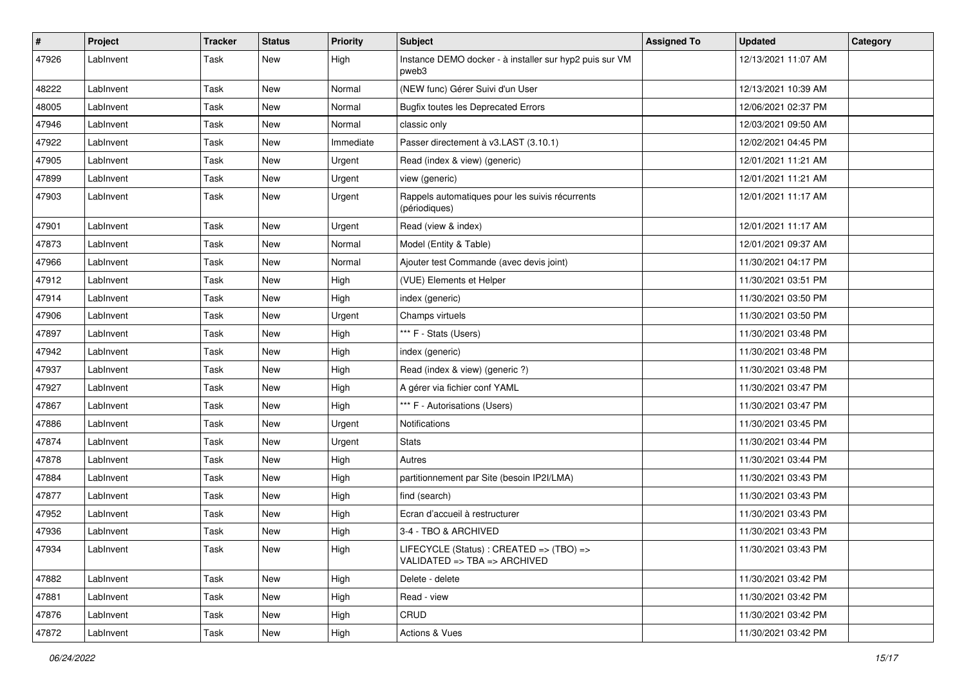| $\pmb{\#}$ | Project   | <b>Tracker</b> | <b>Status</b> | <b>Priority</b> | <b>Subject</b>                                                               | <b>Assigned To</b> | <b>Updated</b>      | Category |
|------------|-----------|----------------|---------------|-----------------|------------------------------------------------------------------------------|--------------------|---------------------|----------|
| 47926      | LabInvent | Task           | New           | High            | Instance DEMO docker - à installer sur hyp2 puis sur VM<br>pweb3             |                    | 12/13/2021 11:07 AM |          |
| 48222      | LabInvent | Task           | <b>New</b>    | Normal          | (NEW func) Gérer Suivi d'un User                                             |                    | 12/13/2021 10:39 AM |          |
| 48005      | LabInvent | Task           | New           | Normal          | <b>Bugfix toutes les Deprecated Errors</b>                                   |                    | 12/06/2021 02:37 PM |          |
| 47946      | LabInvent | Task           | <b>New</b>    | Normal          | classic only                                                                 |                    | 12/03/2021 09:50 AM |          |
| 47922      | LabInvent | Task           | New           | Immediate       | Passer directement à v3.LAST (3.10.1)                                        |                    | 12/02/2021 04:45 PM |          |
| 47905      | LabInvent | Task           | <b>New</b>    | Urgent          | Read (index & view) (generic)                                                |                    | 12/01/2021 11:21 AM |          |
| 47899      | LabInvent | Task           | New           | Urgent          | view (generic)                                                               |                    | 12/01/2021 11:21 AM |          |
| 47903      | LabInvent | Task           | New           | Urgent          | Rappels automatiques pour les suivis récurrents<br>(périodiques)             |                    | 12/01/2021 11:17 AM |          |
| 47901      | LabInvent | Task           | <b>New</b>    | Urgent          | Read (view & index)                                                          |                    | 12/01/2021 11:17 AM |          |
| 47873      | LabInvent | Task           | <b>New</b>    | Normal          | Model (Entity & Table)                                                       |                    | 12/01/2021 09:37 AM |          |
| 47966      | LabInvent | Task           | New           | Normal          | Ajouter test Commande (avec devis joint)                                     |                    | 11/30/2021 04:17 PM |          |
| 47912      | LabInvent | Task           | <b>New</b>    | High            | (VUE) Elements et Helper                                                     |                    | 11/30/2021 03:51 PM |          |
| 47914      | LabInvent | Task           | <b>New</b>    | High            | index (generic)                                                              |                    | 11/30/2021 03:50 PM |          |
| 47906      | LabInvent | Task           | New           | Urgent          | Champs virtuels                                                              |                    | 11/30/2021 03:50 PM |          |
| 47897      | LabInvent | Task           | New           | High            | *** F - Stats (Users)                                                        |                    | 11/30/2021 03:48 PM |          |
| 47942      | LabInvent | Task           | <b>New</b>    | High            | index (generic)                                                              |                    | 11/30/2021 03:48 PM |          |
| 47937      | LabInvent | Task           | New           | High            | Read (index & view) (generic ?)                                              |                    | 11/30/2021 03:48 PM |          |
| 47927      | LabInvent | Task           | <b>New</b>    | High            | A gérer via fichier conf YAML                                                |                    | 11/30/2021 03:47 PM |          |
| 47867      | LabInvent | Task           | New           | High            | *** F - Autorisations (Users)                                                |                    | 11/30/2021 03:47 PM |          |
| 47886      | LabInvent | Task           | <b>New</b>    | Urgent          | Notifications                                                                |                    | 11/30/2021 03:45 PM |          |
| 47874      | LabInvent | Task           | <b>New</b>    | Urgent          | <b>Stats</b>                                                                 |                    | 11/30/2021 03:44 PM |          |
| 47878      | LabInvent | Task           | <b>New</b>    | High            | Autres                                                                       |                    | 11/30/2021 03:44 PM |          |
| 47884      | LabInvent | Task           | <b>New</b>    | High            | partitionnement par Site (besoin IP2I/LMA)                                   |                    | 11/30/2021 03:43 PM |          |
| 47877      | LabInvent | Task           | New           | High            | find (search)                                                                |                    | 11/30/2021 03:43 PM |          |
| 47952      | LabInvent | Task           | <b>New</b>    | High            | Ecran d'accueil à restructurer                                               |                    | 11/30/2021 03:43 PM |          |
| 47936      | LabInvent | Task           | <b>New</b>    | High            | 3-4 - TBO & ARCHIVED                                                         |                    | 11/30/2021 03:43 PM |          |
| 47934      | Lablnvent | Task           | New           | High            | LIFECYCLE (Status) : CREATED => (TBO) =><br>VALIDATED => $TBA$ => $ARCHIVED$ |                    | 11/30/2021 03:43 PM |          |
| 47882      | LabInvent | Task           | New           | High            | Delete - delete                                                              |                    | 11/30/2021 03:42 PM |          |
| 47881      | LabInvent | Task           | New           | High            | Read - view                                                                  |                    | 11/30/2021 03:42 PM |          |
| 47876      | LabInvent | Task           | New           | High            | CRUD                                                                         |                    | 11/30/2021 03:42 PM |          |
| 47872      | LabInvent | Task           | New           | High            | <b>Actions &amp; Vues</b>                                                    |                    | 11/30/2021 03:42 PM |          |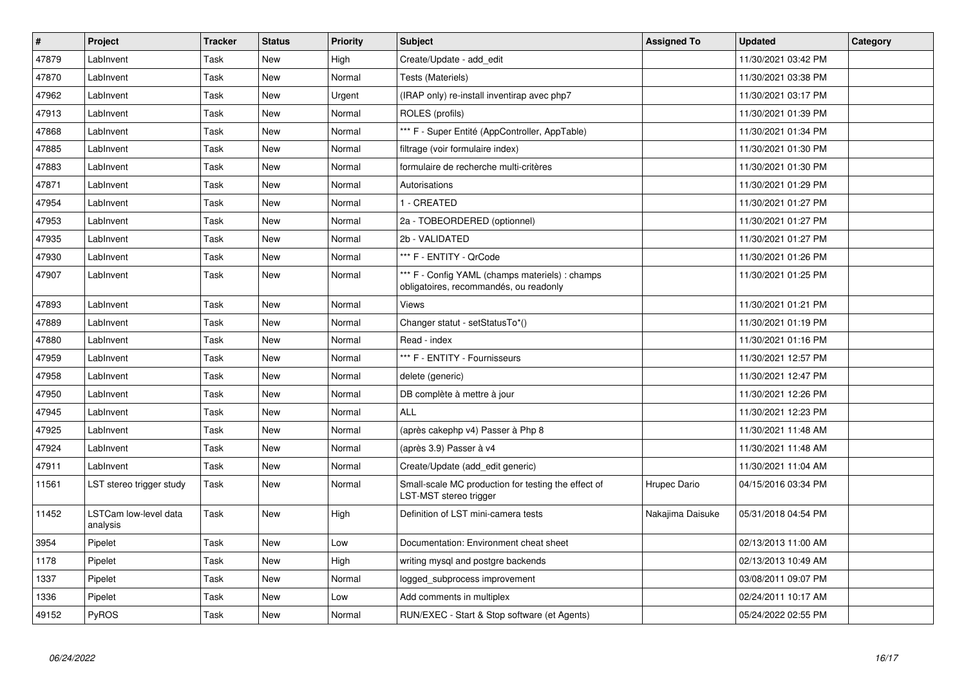| #     | Project                           | <b>Tracker</b> | <b>Status</b> | <b>Priority</b> | <b>Subject</b>                                                                            | <b>Assigned To</b> | <b>Updated</b>      | Category |
|-------|-----------------------------------|----------------|---------------|-----------------|-------------------------------------------------------------------------------------------|--------------------|---------------------|----------|
| 47879 | LabInvent                         | Task           | New           | High            | Create/Update - add_edit                                                                  |                    | 11/30/2021 03:42 PM |          |
| 47870 | LabInvent                         | Task           | <b>New</b>    | Normal          | Tests (Materiels)                                                                         |                    | 11/30/2021 03:38 PM |          |
| 47962 | LabInvent                         | Task           | <b>New</b>    | Urgent          | (IRAP only) re-install inventirap avec php7                                               |                    | 11/30/2021 03:17 PM |          |
| 47913 | LabInvent                         | Task           | <b>New</b>    | Normal          | ROLES (profils)                                                                           |                    | 11/30/2021 01:39 PM |          |
| 47868 | LabInvent                         | Task           | New           | Normal          | *** F - Super Entité (AppController, AppTable)                                            |                    | 11/30/2021 01:34 PM |          |
| 47885 | LabInvent                         | Task           | <b>New</b>    | Normal          | filtrage (voir formulaire index)                                                          |                    | 11/30/2021 01:30 PM |          |
| 47883 | LabInvent                         | Task           | <b>New</b>    | Normal          | formulaire de recherche multi-critères                                                    |                    | 11/30/2021 01:30 PM |          |
| 47871 | LabInvent                         | Task           | <b>New</b>    | Normal          | Autorisations                                                                             |                    | 11/30/2021 01:29 PM |          |
| 47954 | LabInvent                         | Task           | <b>New</b>    | Normal          | 1 - CREATED                                                                               |                    | 11/30/2021 01:27 PM |          |
| 47953 | LabInvent                         | Task           | <b>New</b>    | Normal          | 2a - TOBEORDERED (optionnel)                                                              |                    | 11/30/2021 01:27 PM |          |
| 47935 | LabInvent                         | Task           | New           | Normal          | 2b - VALIDATED                                                                            |                    | 11/30/2021 01:27 PM |          |
| 47930 | LabInvent                         | Task           | New           | Normal          | *** F - ENTITY - QrCode                                                                   |                    | 11/30/2021 01:26 PM |          |
| 47907 | LabInvent                         | Task           | New           | Normal          | *** F - Config YAML (champs materiels) : champs<br>obligatoires, recommandés, ou readonly |                    | 11/30/2021 01:25 PM |          |
| 47893 | LabInvent                         | Task           | <b>New</b>    | Normal          | Views                                                                                     |                    | 11/30/2021 01:21 PM |          |
| 47889 | LabInvent                         | Task           | <b>New</b>    | Normal          | Changer statut - setStatusTo*()                                                           |                    | 11/30/2021 01:19 PM |          |
| 47880 | LabInvent                         | Task           | New           | Normal          | Read - index                                                                              |                    | 11/30/2021 01:16 PM |          |
| 47959 | LabInvent                         | Task           | New           | Normal          | *** F - ENTITY - Fournisseurs                                                             |                    | 11/30/2021 12:57 PM |          |
| 47958 | LabInvent                         | Task           | New           | Normal          | delete (generic)                                                                          |                    | 11/30/2021 12:47 PM |          |
| 47950 | LabInvent                         | Task           | <b>New</b>    | Normal          | DB complète à mettre à jour                                                               |                    | 11/30/2021 12:26 PM |          |
| 47945 | LabInvent                         | Task           | <b>New</b>    | Normal          | <b>ALL</b>                                                                                |                    | 11/30/2021 12:23 PM |          |
| 47925 | LabInvent                         | Task           | <b>New</b>    | Normal          | (après cakephp v4) Passer à Php 8                                                         |                    | 11/30/2021 11:48 AM |          |
| 47924 | LabInvent                         | Task           | New           | Normal          | (après 3.9) Passer à v4                                                                   |                    | 11/30/2021 11:48 AM |          |
| 47911 | LabInvent                         | Task           | <b>New</b>    | Normal          | Create/Update (add_edit generic)                                                          |                    | 11/30/2021 11:04 AM |          |
| 11561 | LST stereo trigger study          | Task           | New           | Normal          | Small-scale MC production for testing the effect of<br>LST-MST stereo trigger             | Hrupec Dario       | 04/15/2016 03:34 PM |          |
| 11452 | LSTCam low-level data<br>analysis | Task           | New           | High            | Definition of LST mini-camera tests                                                       | Nakajima Daisuke   | 05/31/2018 04:54 PM |          |
| 3954  | Pipelet                           | Task           | New           | Low             | Documentation: Environment cheat sheet                                                    |                    | 02/13/2013 11:00 AM |          |
| 1178  | Pipelet                           | Task           | <b>New</b>    | High            | writing mysql and postgre backends                                                        |                    | 02/13/2013 10:49 AM |          |
| 1337  | Pipelet                           | Task           | New           | Normal          | logged subprocess improvement                                                             |                    | 03/08/2011 09:07 PM |          |
| 1336  | Pipelet                           | Task           | New           | Low             | Add comments in multiplex                                                                 |                    | 02/24/2011 10:17 AM |          |
| 49152 | PyROS                             | Task           | <b>New</b>    | Normal          | RUN/EXEC - Start & Stop software (et Agents)                                              |                    | 05/24/2022 02:55 PM |          |